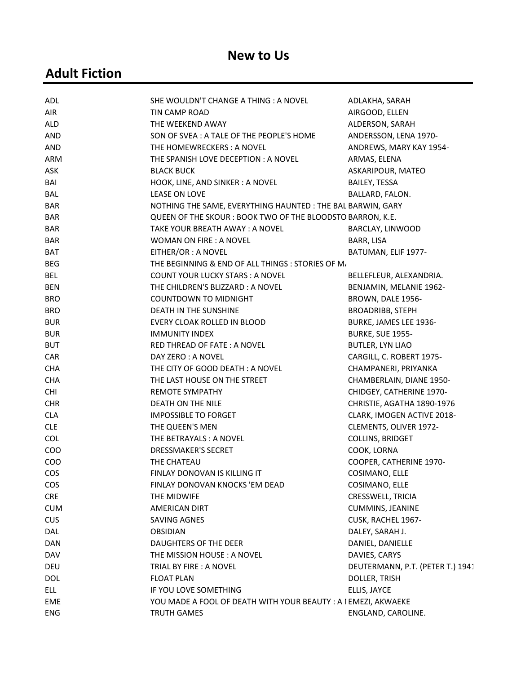#### New to Us

# Adult Fiction

| ADL        | SHE WOULDN'T CHANGE A THING : A NOVEL                         | ADLAKHA, SARAH                   |
|------------|---------------------------------------------------------------|----------------------------------|
| AIR        | TIN CAMP ROAD                                                 | AIRGOOD, ELLEN                   |
| ALD        | THE WEEKEND AWAY                                              | ALDERSON, SARAH                  |
| <b>AND</b> | SON OF SVEA: A TALE OF THE PEOPLE'S HOME                      | ANDERSSON, LENA 1970-            |
| <b>AND</b> | THE HOMEWRECKERS: A NOVEL                                     | ANDREWS, MARY KAY 1954-          |
| ARM        | THE SPANISH LOVE DECEPTION: A NOVEL                           | ARMAS, ELENA                     |
| ASK        | <b>BLACK BUCK</b>                                             | ASKARIPOUR, MATEO                |
| BAI        | HOOK, LINE, AND SINKER: A NOVEL                               | BAILEY, TESSA                    |
| <b>BAL</b> | LEASE ON LOVE                                                 | BALLARD, FALON.                  |
| <b>BAR</b> | NOTHING THE SAME, EVERYTHING HAUNTED: THE BAL BARWIN, GARY    |                                  |
| BAR        | QUEEN OF THE SKOUR: BOOK TWO OF THE BLOODSTO BARRON, K.E.     |                                  |
| <b>BAR</b> | TAKE YOUR BREATH AWAY: A NOVEL                                | BARCLAY, LINWOOD                 |
| <b>BAR</b> | <b>WOMAN ON FIRE: A NOVEL</b>                                 | BARR, LISA                       |
| <b>BAT</b> | EITHER/OR: A NOVEL                                            | BATUMAN, ELIF 1977-              |
| <b>BEG</b> | THE BEGINNING & END OF ALL THINGS : STORIES OF M/             |                                  |
| <b>BEL</b> | <b>COUNT YOUR LUCKY STARS: A NOVEL</b>                        | BELLEFLEUR, ALEXANDRIA.          |
| <b>BEN</b> | THE CHILDREN'S BLIZZARD: A NOVEL                              | BENJAMIN, MELANIE 1962-          |
| <b>BRO</b> | <b>COUNTDOWN TO MIDNIGHT</b>                                  | BROWN, DALE 1956-                |
| <b>BRO</b> | DEATH IN THE SUNSHINE                                         | <b>BROADRIBB, STEPH</b>          |
| <b>BUR</b> | EVERY CLOAK ROLLED IN BLOOD                                   | BURKE, JAMES LEE 1936-           |
| <b>BUR</b> | <b>IMMUNITY INDEX</b>                                         | <b>BURKE, SUE 1955-</b>          |
| <b>BUT</b> | RED THREAD OF FATE: A NOVEL                                   | <b>BUTLER, LYN LIAO</b>          |
| CAR        | DAY ZERO: A NOVEL                                             | CARGILL, C. ROBERT 1975-         |
| <b>CHA</b> | THE CITY OF GOOD DEATH: A NOVEL                               | CHAMPANERI, PRIYANKA             |
| <b>CHA</b> | THE LAST HOUSE ON THE STREET                                  | CHAMBERLAIN, DIANE 1950-         |
| <b>CHI</b> | <b>REMOTE SYMPATHY</b>                                        | CHIDGEY, CATHERINE 1970-         |
| <b>CHR</b> | DEATH ON THE NILE                                             | CHRISTIE, AGATHA 1890-1976       |
| <b>CLA</b> | <b>IMPOSSIBLE TO FORGET</b>                                   | CLARK, IMOGEN ACTIVE 2018-       |
| <b>CLE</b> | THE QUEEN'S MEN                                               | CLEMENTS, OLIVER 1972-           |
| <b>COL</b> | THE BETRAYALS: A NOVEL                                        | COLLINS, BRIDGET                 |
| COO        | <b>DRESSMAKER'S SECRET</b>                                    | COOK, LORNA                      |
| COO        | THE CHATEAU                                                   | COOPER, CATHERINE 1970-          |
| <b>COS</b> | FINLAY DONOVAN IS KILLING IT                                  | COSIMANO, ELLE                   |
| <b>COS</b> | FINLAY DONOVAN KNOCKS 'EM DEAD                                | COSIMANO, ELLE                   |
| <b>CRE</b> | THE MIDWIFE                                                   | CRESSWELL, TRICIA                |
| <b>CUM</b> | AMERICAN DIRT                                                 | <b>CUMMINS, JEANINE</b>          |
| <b>CUS</b> | SAVING AGNES                                                  | CUSK, RACHEL 1967-               |
| DAL        | <b>OBSIDIAN</b>                                               | DALEY, SARAH J.                  |
| DAN        | DAUGHTERS OF THE DEER                                         | DANIEL, DANIELLE                 |
| DAV        | THE MISSION HOUSE: A NOVEL                                    | DAVIES, CARYS                    |
| DEU        | TRIAL BY FIRE : A NOVEL                                       | DEUTERMANN, P.T. (PETER T.) 1941 |
| <b>DOL</b> | <b>FLOAT PLAN</b>                                             | DOLLER, TRISH                    |
| ELL        | IF YOU LOVE SOMETHING                                         | ELLIS, JAYCE                     |
| EME        | YOU MADE A FOOL OF DEATH WITH YOUR BEAUTY: A I EMEZI, AKWAEKE |                                  |
| <b>ENG</b> | TRUTH GAMES                                                   | ENGLAND, CAROLINE.               |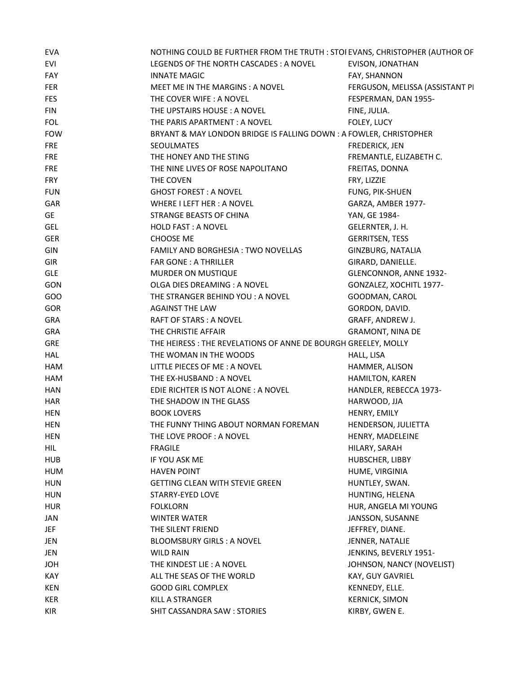| EVA        | NOTHING COULD BE FURTHER FROM THE TRUTH : STOI EVANS, CHRISTOPHER (AUTHOR OF |                                 |
|------------|------------------------------------------------------------------------------|---------------------------------|
| EVI        | LEGENDS OF THE NORTH CASCADES: A NOVEL                                       | EVISON, JONATHAN                |
| FAY        | <b>INNATE MAGIC</b>                                                          | FAY, SHANNON                    |
| FER        | MEET ME IN THE MARGINS: A NOVEL                                              | FERGUSON, MELISSA (ASSISTANT PI |
| <b>FES</b> | THE COVER WIFE: A NOVEL                                                      | FESPERMAN, DAN 1955-            |
| FIN        | THE UPSTAIRS HOUSE: A NOVEL                                                  | FINE, JULIA.                    |
| <b>FOL</b> | THE PARIS APARTMENT : A NOVEL                                                | FOLEY, LUCY                     |
| <b>FOW</b> | BRYANT & MAY LONDON BRIDGE IS FALLING DOWN : A FOWLER, CHRISTOPHER           |                                 |
| <b>FRE</b> | SEOULMATES                                                                   | <b>FREDERICK, JEN</b>           |
| <b>FRE</b> | THE HONEY AND THE STING                                                      | FREMANTLE, ELIZABETH C.         |
| <b>FRE</b> | THE NINE LIVES OF ROSE NAPOLITANO                                            | FREITAS, DONNA                  |
| <b>FRY</b> | THE COVEN                                                                    | FRY, LIZZIE                     |
| <b>FUN</b> | <b>GHOST FOREST: A NOVEL</b>                                                 | <b>FUNG, PIK-SHUEN</b>          |
| GAR        | WHERE I LEFT HER: A NOVEL                                                    | GARZA, AMBER 1977-              |
| GE         | STRANGE BEASTS OF CHINA                                                      | YAN, GE 1984-                   |
| GEL        | HOLD FAST: A NOVEL                                                           | GELERNTER, J. H.                |
| <b>GER</b> | CHOOSE ME                                                                    | <b>GERRITSEN, TESS</b>          |
| GIN        | FAMILY AND BORGHESIA : TWO NOVELLAS                                          | GINZBURG, NATALIA               |
| GIR        | <b>FAR GONE: A THRILLER</b>                                                  |                                 |
|            |                                                                              | GIRARD, DANIELLE.               |
| GLE        | MURDER ON MUSTIQUE                                                           | GLENCONNOR, ANNE 1932-          |
| GON        | OLGA DIES DREAMING : A NOVEL                                                 | GONZALEZ, XOCHITL 1977-         |
| GOO        | THE STRANGER BEHIND YOU: A NOVEL                                             | GOODMAN, CAROL                  |
| <b>GOR</b> | <b>AGAINST THE LAW</b>                                                       | GORDON, DAVID.                  |
| GRA        | RAFT OF STARS : A NOVEL                                                      | GRAFF, ANDREW J.                |
| GRA        | THE CHRISTIE AFFAIR                                                          | <b>GRAMONT, NINA DE</b>         |
| GRE        | THE HEIRESS: THE REVELATIONS OF ANNE DE BOURGH GREELEY, MOLLY                |                                 |
| HAL        | THE WOMAN IN THE WOODS                                                       | HALL, LISA                      |
| HAM        | LITTLE PIECES OF ME: A NOVEL                                                 | HAMMER, ALISON                  |
| HAM        | THE EX-HUSBAND: A NOVEL                                                      | HAMILTON, KAREN                 |
| HAN        | EDIE RICHTER IS NOT ALONE: A NOVEL                                           | HANDLER, REBECCA 1973-          |
| HAR        | THE SHADOW IN THE GLASS                                                      | HARWOOD, JJA                    |
| <b>HEN</b> | <b>BOOK LOVERS</b>                                                           | HENRY, EMILY                    |
| HEN        | THE FUNNY THING ABOUT NORMAN FOREMAN                                         | HENDERSON, JULIETTA             |
| HEN        | THE LOVE PROOF: A NOVEL                                                      | HENRY, MADELEINE                |
| HIL        | <b>FRAGILE</b>                                                               | HILARY, SARAH                   |
| <b>HUB</b> | IF YOU ASK ME                                                                | HUBSCHER, LIBBY                 |
| HUM        | <b>HAVEN POINT</b>                                                           | HUME, VIRGINIA                  |
| <b>HUN</b> | <b>GETTING CLEAN WITH STEVIE GREEN</b>                                       | HUNTLEY, SWAN.                  |
| <b>HUN</b> | STARRY-EYED LOVE                                                             | HUNTING, HELENA                 |
| <b>HUR</b> | <b>FOLKLORN</b>                                                              | HUR, ANGELA MI YOUNG            |
| JAN        | <b>WINTER WATER</b>                                                          | JANSSON, SUSANNE                |
| <b>JEF</b> | THE SILENT FRIEND                                                            | JEFFREY, DIANE.                 |
| JEN        | <b>BLOOMSBURY GIRLS: A NOVEL</b>                                             | JENNER, NATALIE                 |
| JEN        | WILD RAIN                                                                    | JENKINS, BEVERLY 1951-          |
| <b>JOH</b> | THE KINDEST LIE: A NOVEL                                                     | JOHNSON, NANCY (NOVELIST)       |
| KAY        | ALL THE SEAS OF THE WORLD                                                    | KAY, GUY GAVRIEL                |
| KEN        | <b>GOOD GIRL COMPLEX</b>                                                     | KENNEDY, ELLE.                  |
| KER        | KILL A STRANGER                                                              | <b>KERNICK, SIMON</b>           |
| KIR        | SHIT CASSANDRA SAW: STORIES                                                  | KIRBY, GWEN E.                  |
|            |                                                                              |                                 |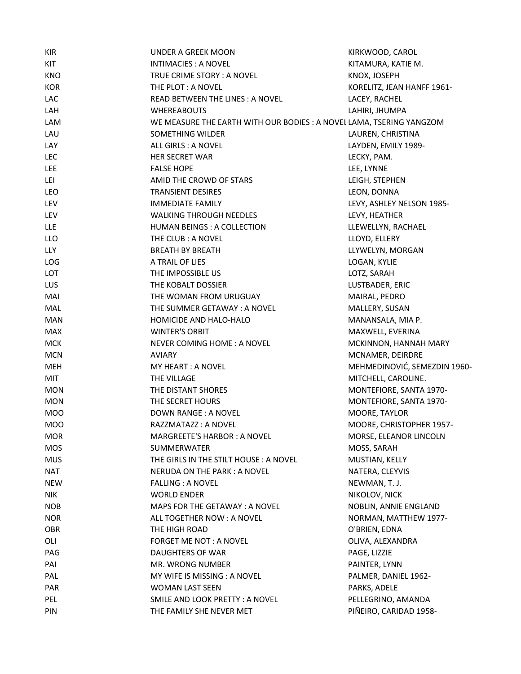| <b>KIR</b> | UNDER A GREEK MOON                                                  | KIRKWOOD, CAROL              |
|------------|---------------------------------------------------------------------|------------------------------|
| KIT        | INTIMACIES: A NOVEL                                                 | KITAMURA, KATIE M.           |
| <b>KNO</b> | TRUE CRIME STORY: A NOVEL                                           | KNOX, JOSEPH                 |
| <b>KOR</b> | THE PLOT: A NOVEL                                                   | KORELITZ, JEAN HANFF 1961-   |
| LAC        | READ BETWEEN THE LINES: A NOVEL                                     | LACEY, RACHEL                |
| LAH        | <b>WHEREABOUTS</b>                                                  | LAHIRI, JHUMPA               |
| LAM        | WE MEASURE THE EARTH WITH OUR BODIES: A NOVEL LAMA, TSERING YANGZOM |                              |
| LAU        | SOMETHING WILDER                                                    | LAUREN, CHRISTINA            |
| LAY        | ALL GIRLS : A NOVEL                                                 | LAYDEN, EMILY 1989-          |
| LEC        | HER SECRET WAR                                                      | LECKY, PAM.                  |
| LEE        | <b>FALSE HOPE</b>                                                   | LEE, LYNNE                   |
| LEI        | AMID THE CROWD OF STARS                                             | LEIGH, STEPHEN               |
| LEO        | <b>TRANSIENT DESIRES</b>                                            | LEON, DONNA                  |
| LEV        | <b>IMMEDIATE FAMILY</b>                                             | LEVY, ASHLEY NELSON 1985-    |
| LEV        | <b>WALKING THROUGH NEEDLES</b>                                      | LEVY, HEATHER                |
| LLE        | HUMAN BEINGS : A COLLECTION                                         | LLEWELLYN, RACHAEL           |
| LLO        | THE CLUB: A NOVEL                                                   | LLOYD, ELLERY                |
| LLY        | <b>BREATH BY BREATH</b>                                             | LLYWELYN, MORGAN             |
| LOG        | A TRAIL OF LIES                                                     | LOGAN, KYLIE                 |
| LOT        | THE IMPOSSIBLE US                                                   | LOTZ, SARAH                  |
| LUS        | THE KOBALT DOSSIER                                                  | LUSTBADER, ERIC              |
| MAI        | THE WOMAN FROM URUGUAY                                              | MAIRAL, PEDRO                |
| MAL        | THE SUMMER GETAWAY: A NOVEL                                         | MALLERY, SUSAN               |
| <b>MAN</b> | HOMICIDE AND HALO-HALO                                              | MANANSALA, MIA P.            |
| <b>MAX</b> | <b>WINTER'S ORBIT</b>                                               | MAXWELL, EVERINA             |
| <b>MCK</b> | NEVER COMING HOME: A NOVEL                                          | MCKINNON, HANNAH MARY        |
| <b>MCN</b> | <b>AVIARY</b>                                                       | MCNAMER, DEIRDRE             |
| <b>MEH</b> | MY HEART: A NOVEL                                                   | MEHMEDINOVIĆ, SEMEZDIN 1960- |
| MIT        | THE VILLAGE                                                         | MITCHELL, CAROLINE.          |
| <b>MON</b> | THE DISTANT SHORES                                                  | MONTEFIORE, SANTA 1970-      |
| <b>MON</b> | THE SECRET HOURS                                                    | MONTEFIORE, SANTA 1970-      |
| <b>MOO</b> | DOWN RANGE : A NOVEL                                                | MOORE, TAYLOR                |
| <b>MOO</b> | RAZZMATAZZ: A NOVEL                                                 | MOORE, CHRISTOPHER 1957-     |
| <b>MOR</b> | <b>MARGREETE'S HARBOR: A NOVEL</b>                                  | MORSE, ELEANOR LINCOLN       |
| <b>MOS</b> | SUMMERWATER                                                         | MOSS, SARAH                  |
| <b>MUS</b> | THE GIRLS IN THE STILT HOUSE: A NOVEL                               | MUSTIAN, KELLY               |
| <b>NAT</b> | NERUDA ON THE PARK: A NOVEL                                         | NATERA, CLEYVIS              |
| <b>NEW</b> | <b>FALLING: A NOVEL</b>                                             | NEWMAN, T. J.                |
| <b>NIK</b> | <b>WORLD ENDER</b>                                                  | NIKOLOV, NICK                |
| <b>NOB</b> | MAPS FOR THE GETAWAY : A NOVEL                                      | NOBLIN, ANNIE ENGLAND        |
| <b>NOR</b> | ALL TOGETHER NOW: A NOVEL                                           | NORMAN, MATTHEW 1977-        |
| OBR        | THE HIGH ROAD                                                       | O'BRIEN, EDNA                |
| OLI        | <b>FORGET ME NOT: A NOVEL</b>                                       | OLIVA, ALEXANDRA             |
| PAG        | DAUGHTERS OF WAR                                                    | PAGE, LIZZIE                 |
| PAI        | MR. WRONG NUMBER                                                    | PAINTER, LYNN                |
| PAL        | MY WIFE IS MISSING : A NOVEL                                        | PALMER, DANIEL 1962-         |
| <b>PAR</b> | <b>WOMAN LAST SEEN</b>                                              | PARKS, ADELE                 |
| PEL        | SMILE AND LOOK PRETTY: A NOVEL                                      | PELLEGRINO, AMANDA           |
| PIN        | THE FAMILY SHE NEVER MET                                            | PIÑEIRO, CARIDAD 1958-       |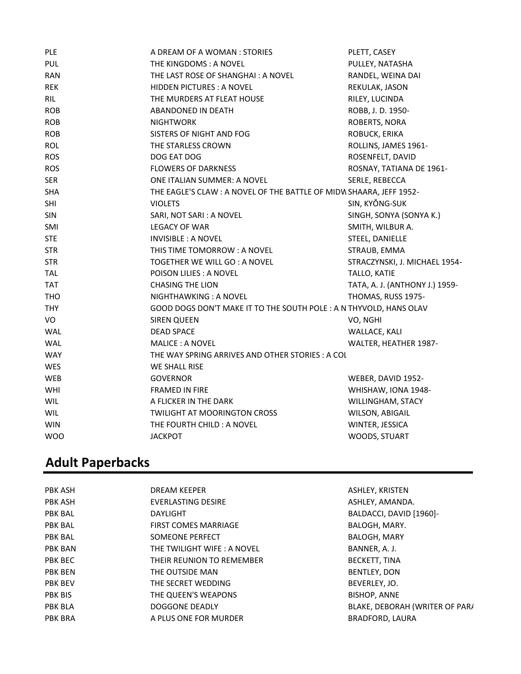| <b>PLE</b> | A DREAM OF A WOMAN : STORIES                                       | PLETT, CASEY                   |
|------------|--------------------------------------------------------------------|--------------------------------|
| PUL        | THE KINGDOMS: A NOVEL                                              | PULLEY, NATASHA                |
| <b>RAN</b> | THE LAST ROSE OF SHANGHAI: A NOVEL                                 | RANDEL, WEINA DAI              |
| <b>REK</b> | <b>HIDDEN PICTURES: A NOVEL</b>                                    | REKULAK, JASON                 |
| <b>RIL</b> | THE MURDERS AT FLEAT HOUSE                                         | RILEY, LUCINDA                 |
| <b>ROB</b> | ABANDONED IN DEATH                                                 | ROBB, J. D. 1950-              |
| <b>ROB</b> | <b>NIGHTWORK</b>                                                   | ROBERTS, NORA                  |
| <b>ROB</b> | SISTERS OF NIGHT AND FOG                                           | ROBUCK, ERIKA                  |
| ROL        | THE STARLESS CROWN                                                 | ROLLINS, JAMES 1961-           |
| <b>ROS</b> | DOG EAT DOG                                                        | ROSENFELT, DAVID               |
| <b>ROS</b> | <b>FLOWERS OF DARKNESS</b>                                         | ROSNAY, TATIANA DE 1961-       |
| <b>SER</b> | ONE ITALIAN SUMMER: A NOVEL                                        | SERLE, REBECCA                 |
| <b>SHA</b> | THE EAGLE'S CLAW: A NOVEL OF THE BATTLE OF MIDW SHAARA, JEFF 1952- |                                |
| SHI        | <b>VIOLETS</b>                                                     | SIN, KYŎNG-SUK                 |
| SIN        | SARI, NOT SARI : A NOVEL                                           | SINGH, SONYA (SONYA K.)        |
| SMI        | LEGACY OF WAR                                                      | SMITH, WILBUR A.               |
| <b>STE</b> | <b>INVISIBLE : A NOVEL</b>                                         | STEEL, DANIELLE                |
| <b>STR</b> | THIS TIME TOMORROW: A NOVEL                                        | STRAUB, EMMA                   |
| <b>STR</b> | TOGETHER WE WILL GO : A NOVEL                                      | STRACZYNSKI, J. MICHAEL 1954-  |
| <b>TAL</b> | POISON LILIES : A NOVEL                                            | TALLO, KATIE                   |
| <b>TAT</b> | <b>CHASING THE LION</b>                                            | TATA, A. J. (ANTHONY J.) 1959- |
| <b>THO</b> | NIGHTHAWKING: A NOVEL                                              | THOMAS, RUSS 1975-             |
| <b>THY</b> | GOOD DOGS DON'T MAKE IT TO THE SOUTH POLE: A N THYVOLD, HANS OLAV  |                                |
| VO         | <b>SIREN QUEEN</b>                                                 | VO, NGHI                       |
| WAL        | <b>DEAD SPACE</b>                                                  | WALLACE, KALI                  |
| WAL        | <b>MALICE: A NOVEL</b>                                             | WALTER, HEATHER 1987-          |
| <b>WAY</b> | THE WAY SPRING ARRIVES AND OTHER STORIES: A COL                    |                                |
| WES        | WE SHALL RISE                                                      |                                |
| WEB        | <b>GOVERNOR</b>                                                    | WEBER, DAVID 1952-             |
| WHI        | FRAMED IN FIRE                                                     | WHISHAW, IONA 1948-            |
| WIL        | A FLICKER IN THE DARK                                              | WILLINGHAM, STACY              |
| WIL        | TWILIGHT AT MOORINGTON CROSS                                       | WILSON, ABIGAIL                |
| <b>WIN</b> | THE FOURTH CHILD: A NOVEL                                          | WINTER, JESSICA                |
| <b>WOO</b> | <b>JACKPOT</b>                                                     | WOODS, STUART                  |

# Adult Paperbacks

| PBK ASH        | DREAM KEEPER                | ASHLEY, KRISTEN                |
|----------------|-----------------------------|--------------------------------|
| PBK ASH        | EVERLASTING DESIRE          | ASHLEY, AMANDA.                |
| <b>PBK BAL</b> | <b>DAYLIGHT</b>             | BALDACCI, DAVID [1960]-        |
| <b>PBK BAL</b> | <b>FIRST COMES MARRIAGE</b> | BALOGH, MARY.                  |
| <b>PBK BAL</b> | <b>SOMEONE PERFECT</b>      | <b>BALOGH, MARY</b>            |
| <b>PBK BAN</b> | THE TWILIGHT WIFE: A NOVEL  | BANNER, A. J.                  |
| PBK BEC        | THEIR REUNION TO REMEMBER   | BECKETT, TINA                  |
| <b>PBK BEN</b> | THE OUTSIDE MAN             | BENTLEY, DON                   |
| <b>PBK BEV</b> | THE SECRET WEDDING          | BEVERLEY, JO.                  |
| <b>PBK BIS</b> | THE QUEEN'S WEAPONS         | <b>BISHOP, ANNE</b>            |
| <b>PBK BLA</b> | DOGGONE DEADLY              | BLAKE, DEBORAH (WRITER OF PAR/ |
| <b>PBK BRA</b> | A PLUS ONE FOR MURDER       | <b>BRADFORD, LAURA</b>         |
|                |                             |                                |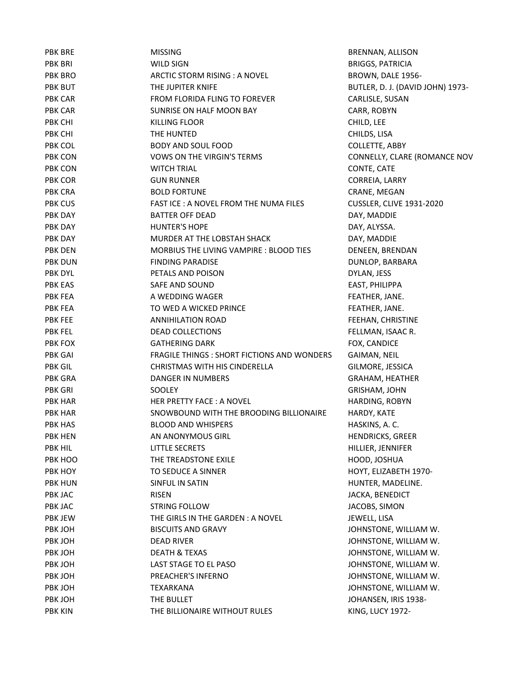| <b>PBK BRE</b> | <b>MISSING</b>                                    | BRENNAN, ALL         |
|----------------|---------------------------------------------------|----------------------|
| <b>PBK BRI</b> | <b>WILD SIGN</b>                                  | <b>BRIGGS, PATRI</b> |
| PBK BRO        | ARCTIC STORM RISING : A NOVEL                     | <b>BROWN, DALE</b>   |
| PBK BUT        | THE JUPITER KNIFE                                 | BUTLER, D. J. (I     |
| PBK CAR        | FROM FLORIDA FLING TO FOREVER                     | CARLISLE, SUS/       |
| PBK CAR        | SUNRISE ON HALF MOON BAY                          | CARR, ROBYN          |
| PBK CHI        | <b>KILLING FLOOR</b>                              | CHILD, LEE           |
| PBK CHI        | THE HUNTED                                        | CHILDS, LISA         |
| PBK COL        | <b>BODY AND SOUL FOOD</b>                         | <b>COLLETTE, ABE</b> |
| PBK CON        | <b>VOWS ON THE VIRGIN'S TERMS</b>                 | CONNELLY, CL         |
| PBK CON        | <b>WITCH TRIAL</b>                                | CONTE, CATE          |
| PBK COR        | <b>GUN RUNNER</b>                                 | CORREIA, LARF        |
| PBK CRA        | <b>BOLD FORTUNE</b>                               | CRANE, MEGA          |
| PBK CUS        | FAST ICE: A NOVEL FROM THE NUMA FILES             | CUSSLER, CLIVI       |
| PBK DAY        | <b>BATTER OFF DEAD</b>                            | DAY, MADDIE          |
| PBK DAY        | <b>HUNTER'S HOPE</b>                              | DAY, ALYSSA.         |
| PBK DAY        | MURDER AT THE LOBSTAH SHACK                       | DAY, MADDIE          |
| PBK DEN        | MORBIUS THE LIVING VAMPIRE: BLOOD TIES            | DENEEN, BREN         |
| PBK DUN        | <b>FINDING PARADISE</b>                           | <b>DUNLOP, BARE</b>  |
| PBK DYL        | PETALS AND POISON                                 | DYLAN, JESS          |
| <b>PBK EAS</b> | SAFE AND SOUND                                    | EAST, PHILIPPA       |
| PBK FEA        | A WEDDING WAGER                                   | FEATHER, JANI        |
| PBK FEA        | TO WED A WICKED PRINCE                            | FEATHER, JANI        |
| <b>PBK FEE</b> | <b>ANNIHILATION ROAD</b>                          | FEEHAN, CHRIS        |
| <b>PBK FEL</b> | <b>DEAD COLLECTIONS</b>                           | FELLMAN, ISAA        |
| PBK FOX        | <b>GATHERING DARK</b>                             | FOX, CANDICE         |
| <b>PBK GAI</b> | <b>FRAGILE THINGS: SHORT FICTIONS AND WONDERS</b> | <b>GAIMAN, NEIL</b>  |
| <b>PBK GIL</b> | CHRISTMAS WITH HIS CINDERELLA                     | GILMORE, JESS        |
| PBK GRA        | DANGER IN NUMBERS                                 | GRAHAM, HEA          |
| PBK GRI        | SOOLEY                                            | GRISHAM, JOH         |
| PBK HAR        | HER PRETTY FACE: A NOVEL                          | HARDING, ROB         |
| PBK HAR        | SNOWBOUND WITH THE BROODING BILLIONAIRE           | HARDY, KATE          |
| <b>PBK HAS</b> | <b>BLOOD AND WHISPERS</b>                         | HASKINS, A. C.       |
| PBK HEN        | AN ANONYMOUS GIRL                                 | <b>HENDRICKS, GI</b> |
| <b>PBK HIL</b> | <b>LITTLE SECRETS</b>                             | HILLIER, JENNI       |
| PBK HOO        | THE TREADSTONE EXILE                              | HOOD, JOSHU          |
| PBK HOY        | TO SEDUCE A SINNER                                | HOYT, ELIZABE        |
| <b>PBK HUN</b> | SINFUL IN SATIN                                   | HUNTER, MAD          |
| PBK JAC        | <b>RISEN</b>                                      | JACKA, BENEDI        |
| PBK JAC        | <b>STRING FOLLOW</b>                              | JACOBS, SIMO         |
| PBK JEW        | THE GIRLS IN THE GARDEN: A NOVEL                  | JEWELL, LISA         |
| PBK JOH        | <b>BISCUITS AND GRAVY</b>                         | JOHNSTONE, V         |
| PBK JOH        | <b>DEAD RIVER</b>                                 | JOHNSTONE, V         |
| PBK JOH        | <b>DEATH &amp; TEXAS</b>                          | JOHNSTONE, V         |
| PBK JOH        | LAST STAGE TO EL PASO                             | JOHNSTONE, V         |
| PBK JOH        | PREACHER'S INFERNO                                | JOHNSTONE, V         |
| PBK JOH        | <b>TEXARKANA</b>                                  | JOHNSTONE, V         |
| PBK JOH        | THE BULLET                                        | JOHANSEN, IRI        |
| <b>PBK KIN</b> | THE BILLIONAIRE WITHOUT RULES                     | KING, LUCY 19        |

BRENNAN, ALLISON BRIGGS, PATRICIA BROWN, DALE 1956-BUTLER, D. J. (DAVID JOHN) 1973-CARLISLE, SUSAN CARR, ROBYN COLLETTE, ABBY CONNELLY, CLARE (ROMANCE NOV CONTE, CATE CORREIA, LARRY CRANE, MEGAN **CUSSLER, CLIVE 1931-2020** DAY, MADDIE DAY, MADDIE DENEEN, BRENDAN DUNLOP, BARBARA EAST, PHILIPPA FEATHER, JANE. FEATHER, JANE. FEEHAN, CHRISTINE FELLMAN, ISAAC R. GAIMAN, NEIL GILMORE, JESSICA GRAHAM, HEATHER GRISHAM, JOHN HARDING, ROBYN HEN DRICKS, GREER HILLIER, JENNIFER HOOD, JOSHUA HOYT, ELIZABETH 1970-HUNTER, MADELINE. JACKA, BENEDICT JACOBS, SIMON JOHNSTONE, WILLIAM W. JOHNSTONE, WILLIAM W. JOHNSTONE, WILLIAM W. JOHNSTONE, WILLIAM W. JOHNSTONE, WILLIAM W. JOHNSTONE, WILLIAM W. JOHANSEN, IRIS 1938-KING, LUCY 1972-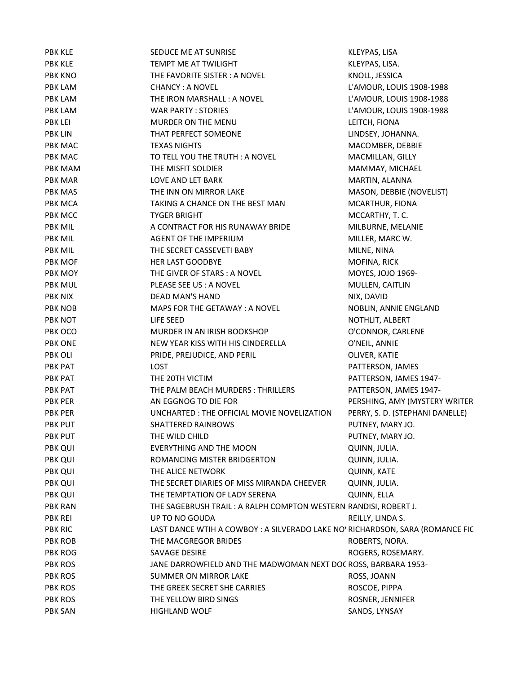| <b>PBK KLE</b> | SEDUCE ME AT SUNRISE                                                         | KLEYPAS, LISA                   |
|----------------|------------------------------------------------------------------------------|---------------------------------|
| <b>PBK KLE</b> | TEMPT ME AT TWILIGHT                                                         | KLEYPAS, LISA.                  |
| <b>PBK KNO</b> | THE FAVORITE SISTER: A NOVEL                                                 | KNOLL, JESSICA                  |
| <b>PBK LAM</b> | <b>CHANCY: A NOVEL</b>                                                       | L'AMOUR, LOUIS 1908-1988        |
| <b>PBK LAM</b> | THE IRON MARSHALL: A NOVEL                                                   | L'AMOUR, LOUIS 1908-1988        |
| PBK LAM        | <b>WAR PARTY: STORIES</b>                                                    | L'AMOUR, LOUIS 1908-1988        |
| <b>PBK LEI</b> | MURDER ON THE MENU                                                           | LEITCH, FIONA                   |
| <b>PBK LIN</b> | THAT PERFECT SOMEONE                                                         | LINDSEY, JOHANNA.               |
| PBK MAC        | <b>TEXAS NIGHTS</b>                                                          | MACOMBER, DEBBIE                |
| PBK MAC        | TO TELL YOU THE TRUTH: A NOVEL                                               | MACMILLAN, GILLY                |
| PBK MAM        | THE MISFIT SOLDIER                                                           | MAMMAY, MICHAEL                 |
| <b>PBK MAR</b> | LOVE AND LET BARK                                                            | MARTIN, ALANNA                  |
| PBK MAS        | THE INN ON MIRROR LAKE                                                       | MASON, DEBBIE (NOVELIST)        |
| PBK MCA        | TAKING A CHANCE ON THE BEST MAN                                              | MCARTHUR, FIONA                 |
| PBK MCC        | <b>TYGER BRIGHT</b>                                                          | MCCARTHY, T. C.                 |
| <b>PBK MIL</b> | A CONTRACT FOR HIS RUNAWAY BRIDE                                             | MILBURNE, MELANIE               |
| PBK MIL        | AGENT OF THE IMPERIUM                                                        | MILLER, MARC W.                 |
| <b>PBK MIL</b> | THE SECRET CASSEVETI BABY                                                    | MILNE, NINA                     |
| PBK MOF        | <b>HER LAST GOODBYE</b>                                                      | MOFINA, RICK                    |
| PBK MOY        | THE GIVER OF STARS: A NOVEL                                                  | MOYES, JOJO 1969-               |
| <b>PBK MUL</b> | PLEASE SEE US : A NOVEL                                                      | MULLEN, CAITLIN                 |
| <b>PBK NIX</b> | DEAD MAN'S HAND                                                              | NIX, DAVID                      |
| PBK NOB        | MAPS FOR THE GETAWAY: A NOVEL                                                | NOBLIN, ANNIE ENGLAND           |
| PBK NOT        | LIFE SEED                                                                    | NOTHLIT, ALBERT                 |
| PBK OCO        | MURDER IN AN IRISH BOOKSHOP                                                  | O'CONNOR, CARLENE               |
| <b>PBK ONE</b> | NEW YEAR KISS WITH HIS CINDERELLA                                            | O'NEIL, ANNIE                   |
| PBK OLI        | PRIDE, PREJUDICE, AND PERIL                                                  | OLIVER, KATIE                   |
| PBK PAT        | <b>LOST</b>                                                                  | PATTERSON, JAMES                |
| PBK PAT        | THE 20TH VICTIM                                                              | PATTERSON, JAMES 1947-          |
| PBK PAT        | THE PALM BEACH MURDERS: THRILLERS                                            | PATTERSON, JAMES 1947-          |
| PBK PER        | AN EGGNOG TO DIE FOR                                                         | PERSHING, AMY (MYSTERY WRITER   |
| <b>PBK PER</b> | UNCHARTED: THE OFFICIAL MOVIE NOVELIZATION                                   | PERRY, S. D. (STEPHANI DANELLE) |
| <b>PBK PUT</b> | <b>SHATTERED RAINBOWS</b>                                                    | PUTNEY, MARY JO.                |
| <b>PBK PUT</b> | THE WILD CHILD                                                               | PUTNEY, MARY JO.                |
| PBK QUI        | <b>EVERYTHING AND THE MOON</b>                                               | QUINN, JULIA.                   |
| <b>PBK QUI</b> | ROMANCING MISTER BRIDGERTON                                                  | QUINN, JULIA.                   |
| PBK QUI        | THE ALICE NETWORK                                                            | QUINN, KATE                     |
| <b>PBK QUI</b> | THE SECRET DIARIES OF MISS MIRANDA CHEEVER                                   | QUINN, JULIA.                   |
| <b>PBK QUI</b> | THE TEMPTATION OF LADY SERENA                                                | QUINN, ELLA                     |
| <b>PBK RAN</b> | THE SAGEBRUSH TRAIL: A RALPH COMPTON WESTERN RANDISI, ROBERT J.              |                                 |
| PBK REI        | UP TO NO GOUDA                                                               | REILLY, LINDA S.                |
| <b>PBK RIC</b> | LAST DANCE WTIH A COWBOY : A SILVERADO LAKE NO RICHARDSON, SARA (ROMANCE FIC |                                 |
| <b>PBK ROB</b> | THE MACGREGOR BRIDES                                                         | ROBERTS, NORA.                  |
| PBK ROG        | SAVAGE DESIRE                                                                | ROGERS, ROSEMARY.               |
| <b>PBK ROS</b> | JANE DARROWFIELD AND THE MADWOMAN NEXT DOC ROSS, BARBARA 1953-               |                                 |
| <b>PBK ROS</b> | SUMMER ON MIRROR LAKE                                                        | ROSS, JOANN                     |
| <b>PBK ROS</b> | THE GREEK SECRET SHE CARRIES                                                 | ROSCOE, PIPPA                   |
| <b>PBK ROS</b> | THE YELLOW BIRD SINGS                                                        | ROSNER, JENNIFER                |
| <b>PBK SAN</b> | <b>HIGHLAND WOLF</b>                                                         | SANDS, LYNSAY                   |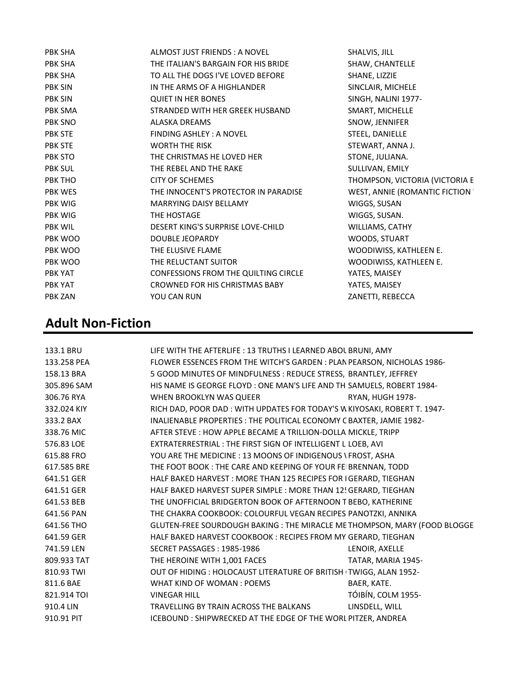| PBK SHA        | ALMOST JUST FRIENDS: A NOVEL         | SHALVIS, JILL                   |
|----------------|--------------------------------------|---------------------------------|
| PBK SHA        | THE ITALIAN'S BARGAIN FOR HIS BRIDE  | SHAW, CHANTELLE                 |
| PBK SHA        | TO ALL THE DOGS I'VE LOVED BEFORE    | SHANE, LIZZIE                   |
| <b>PBK SIN</b> | IN THE ARMS OF A HIGHLANDER          | SINCLAIR, MICHELE               |
| <b>PBK SIN</b> | <b>QUIET IN HER BONES</b>            | SINGH, NALINI 1977-             |
| PBK SMA        | STRANDED WITH HER GREEK HUSBAND      | SMART, MICHELLE                 |
| PBK SNO        | <b>ALASKA DREAMS</b>                 | SNOW, JENNIFER                  |
| <b>PBK STE</b> | FINDING ASHLEY: A NOVEL              | STEEL, DANIELLE                 |
| <b>PBK STE</b> | <b>WORTH THE RISK</b>                | STEWART, ANNA J.                |
| PBK STO        | THE CHRISTMAS HE LOVED HER           | STONE, JULIANA.                 |
| <b>PBK SUL</b> | THE REBEL AND THE RAKE               | SULLIVAN, EMILY                 |
| PBK THO        | <b>CITY OF SCHEMES</b>               | THOMPSON, VICTORIA (VICTORIA E  |
| PBK WES        | THE INNOCENT'S PROTECTOR IN PARADISE | WEST, ANNIE (ROMANTIC FICTION ' |
| PBK WIG        | <b>MARRYING DAISY BELLAMY</b>        | WIGGS, SUSAN                    |
| PBK WIG        | THE HOSTAGE                          | WIGGS, SUSAN.                   |
| PBK WIL        | DESERT KING'S SURPRISE LOVE-CHILD    | WILLIAMS, CATHY                 |
| PBK WOO        | DOUBLE JEOPARDY                      | WOODS, STUART                   |
| PBK WOO        | THE ELUSIVE FLAME                    | WOODIWISS, KATHLEEN E.          |
| PBK WOO        | THE RELUCTANT SUITOR                 | WOODIWISS, KATHLEEN E.          |
| PBK YAT        | CONFESSIONS FROM THE QUILTING CIRCLE | YATES, MAISEY                   |
| PBK YAT        | CROWNED FOR HIS CHRISTMAS BABY       | YATES, MAISEY                   |
| <b>PBK ZAN</b> | YOU CAN RUN                          | ZANETTI, REBECCA                |
|                |                                      |                                 |

# Adult Non-Fiction

| 133.1 BRU   | LIFE WITH THE AFTERLIFE : 13 TRUTHS I LEARNED ABOL BRUNI, AMY             |                    |
|-------------|---------------------------------------------------------------------------|--------------------|
| 133.258 PEA | FLOWER ESSENCES FROM THE WITCH'S GARDEN : PLAN PEARSON, NICHOLAS 1986-    |                    |
| 158.13 BRA  | 5 GOOD MINUTES OF MINDFULNESS: REDUCE STRESS, BRANTLEY, JEFFREY           |                    |
| 305.896 SAM | HIS NAME IS GEORGE FLOYD : ONE MAN'S LIFE AND TH SAMUELS, ROBERT 1984-    |                    |
| 306.76 RYA  | WHEN BROOKLYN WAS QUEER                                                   | RYAN, HUGH 1978-   |
| 332.024 KIY | RICH DAD, POOR DAD: WITH UPDATES FOR TODAY'S W KIYOSAKI, ROBERT T. 1947-  |                    |
| 333.2 BAX   | INALIENABLE PROPERTIES : THE POLITICAL ECONOMY C BAXTER, JAMIE 1982-      |                    |
| 338.76 MIC  | AFTER STEVE : HOW APPLE BECAME A TRILLION-DOLLA MICKLE, TRIPP             |                    |
| 576.83 LOE  | EXTRATERRESTRIAL: THE FIRST SIGN OF INTELLIGENT LILOEB, AVI               |                    |
| 615.88 FRO  | YOU ARE THE MEDICINE : 13 MOONS OF INDIGENOUS \ FROST, ASHA               |                    |
| 617.585 BRE | THE FOOT BOOK: THE CARE AND KEEPING OF YOUR FEI BRENNAN, TODD             |                    |
| 641.51 GER  | HALF BAKED HARVEST: MORE THAN 125 RECIPES FOR I GERARD, TIEGHAN           |                    |
| 641.51 GER  | HALF BAKED HARVEST SUPER SIMPLE : MORE THAN 12! GERARD, TIEGHAN           |                    |
| 641.53 BEB  | THE UNOFFICIAL BRIDGERTON BOOK OF AFTERNOON T BEBO, KATHERINE             |                    |
| 641.56 PAN  | THE CHAKRA COOKBOOK: COLOURFUL VEGAN RECIPES PANOTZKI, ANNIKA             |                    |
| 641.56 THO  | GLUTEN-FREE SOURDOUGH BAKING : THE MIRACLE ME THOMPSON, MARY (FOOD BLOGGE |                    |
| 641.59 GER  | HALF BAKED HARVEST COOKBOOK: RECIPES FROM MY GERARD, TIEGHAN              |                    |
| 741.59 LEN  | SECRET PASSAGES: 1985-1986                                                | LENOIR, AXELLE     |
| 809.933 TAT | THE HEROINE WITH 1,001 FACES                                              | TATAR, MARIA 1945- |
| 810.93 TWI  | OUT OF HIDING : HOLOCAUST LITERATURE OF BRITISH (TWIGG, ALAN 1952-        |                    |
| 811.6 BAE   | WHAT KIND OF WOMAN: POEMS                                                 | BAER, KATE.        |
| 821.914 TOI | <b>VINEGAR HILL</b>                                                       | TÓIBÍN, COLM 1955- |
| 910.4 LIN   | TRAVELLING BY TRAIN ACROSS THE BALKANS                                    | LINSDELL, WILL     |
| 910.91 PIT  | ICEBOUND: SHIPWRECKED AT THE EDGE OF THE WORL PITZER, ANDREA              |                    |
|             |                                                                           |                    |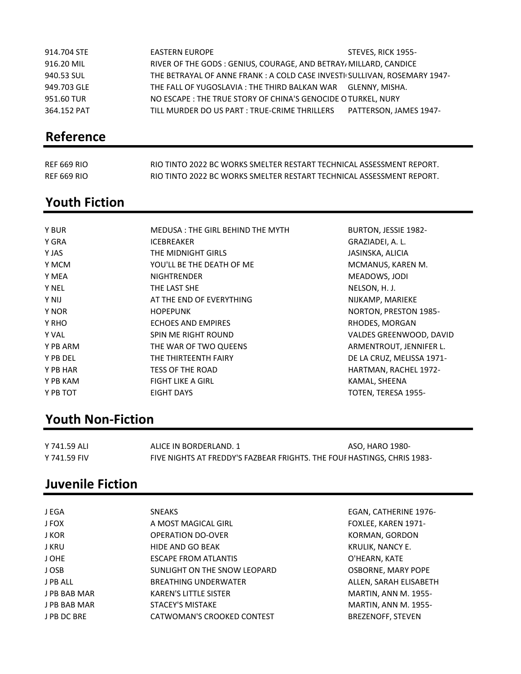| 914.704 STE | EASTERN EUROPE                                                            | STEVES, RICK 1955-     |
|-------------|---------------------------------------------------------------------------|------------------------|
| 916.20 MIL  | RIVER OF THE GODS: GENIUS, COURAGE, AND BETRAY/ MILLARD, CANDICE          |                        |
| 940.53 SUL  | THE BETRAYAL OF ANNE FRANK : A COLD CASE INVESTI SULLIVAN, ROSEMARY 1947- |                        |
| 949.703 GLE | THE FALL OF YUGOSLAVIA : THE THIRD BALKAN WAR    GLENNY, MISHA.           |                        |
| 951.60 TUR  | NO ESCAPE : THE TRUE STORY OF CHINA'S GENOCIDE O TURKEL, NURY             |                        |
| 364.152 PAT | TILL MURDER DO US PART : TRUE-CRIME THRILLERS                             | PATTERSON, JAMES 1947- |

# Reference

| <b>REF 669 RIO</b> | RIO TINTO 2022 BC WORKS SMELTER RESTART TECHNICAL ASSESSMENT REPORT. |
|--------------------|----------------------------------------------------------------------|
| <b>REF 669 RIO</b> | RIO TINTO 2022 BC WORKS SMELTER RESTART TECHNICAL ASSESSMENT REPORT. |

### Youth Fiction

| Y BUR        | MEDUSA: THE GIRL BEHIND THE MYTH | <b>BURTON, JESSIE 1982-</b> |
|--------------|----------------------------------|-----------------------------|
| Y GRA        | <b>ICEBREAKER</b>                | GRAZIADEI, A. L.            |
| Y JAS        | THE MIDNIGHT GIRLS               | JASINSKA, ALICIA            |
| Y MCM        | YOU'LL BE THE DEATH OF ME        | MCMANUS, KAREN M.           |
| Y MEA        | <b>NIGHTRENDER</b>               | MEADOWS, JODI               |
| <b>Y NEL</b> | THE LAST SHE                     | NELSON, H. J.               |
| Y NIJ        | AT THE END OF EVERYTHING         | NIJKAMP, MARIEKE            |
| Y NOR        | <b>HOPEPUNK</b>                  | NORTON, PRESTON 1985-       |
| Y RHO        | <b>ECHOES AND EMPIRES</b>        | RHODES, MORGAN              |
| Y VAL        | SPIN ME RIGHT ROUND              | VALDES GREENWOOD, DAVID     |
| Y PB ARM     | THE WAR OF TWO QUEENS            | ARMENTROUT, JENNIFER L.     |
| Y PB DEL     | THE THIRTEENTH FAIRY             | DE LA CRUZ, MELISSA 1971-   |
| Y PB HAR     | <b>TESS OF THE ROAD</b>          | HARTMAN, RACHEL 1972-       |
| Y PB KAM     | <b>FIGHT LIKE A GIRL</b>         | KAMAL, SHEENA               |
| Y PB TOT     | EIGHT DAYS                       | TOTEN, TERESA 1955-         |
|              |                                  |                             |

# Youth Non-Fiction

| Y 741.59 ALI | ALICE IN BORDERLAND. 1                                                  | ASO, HARO 1980- |
|--------------|-------------------------------------------------------------------------|-----------------|
| Y 741.59 FIV | FIVE NIGHTS AT FREDDY'S FAZBEAR FRIGHTS. THE FOUF HASTINGS, CHRIS 1983- |                 |

## Juvenile Fiction

| J EGA        | <b>SNEAKS</b>                | EGAN, CATHERINE 1976-       |
|--------------|------------------------------|-----------------------------|
| J FOX        | A MOST MAGICAL GIRL          | FOXLEE, KAREN 1971-         |
| J KOR        | <b>OPERATION DO-OVER</b>     | KORMAN, GORDON              |
| J KRU        | HIDE AND GO BEAK             | KRULIK, NANCY E.            |
| J OHE        | <b>ESCAPE FROM ATLANTIS</b>  | O'HEARN, KATE               |
| J OSB        | SUNLIGHT ON THE SNOW LEOPARD | OSBORNE, MARY POPE          |
| J PB ALL     | <b>BREATHING UNDERWATER</b>  | ALLEN, SARAH ELISABETH      |
| J PB BAB MAR | <b>KAREN'S LITTLE SISTER</b> | <b>MARTIN, ANN M. 1955-</b> |
| J PB BAB MAR | <b>STACEY'S MISTAKE</b>      | MARTIN, ANN M. 1955-        |
| J PB DC BRE  | CATWOMAN'S CROOKED CONTEST   | <b>BREZENOFF, STEVEN</b>    |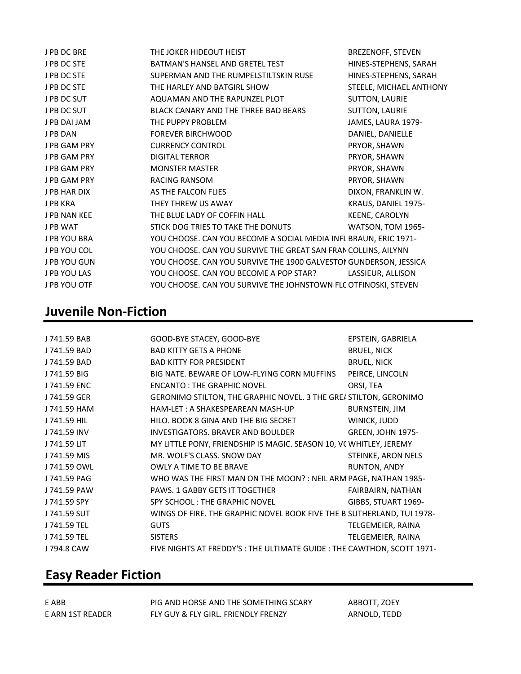| J PB DC BRE         | THE JOKER HIDEOUT HEIST                                           | <b>BREZENOFF, STEVEN</b> |
|---------------------|-------------------------------------------------------------------|--------------------------|
| J PB DC STE         | BATMAN'S HANSEL AND GRETEL TEST                                   | HINES-STEPHENS, SARAH    |
| J PB DC STE         | SUPERMAN AND THE RUMPELSTILTSKIN RUSE                             | HINES-STEPHENS, SARAH    |
| J PB DC STE         | THE HARLEY AND BATGIRL SHOW                                       | STEELE, MICHAEL ANTHONY  |
| J PB DC SUT         | AQUAMAN AND THE RAPUNZEL PLOT                                     | <b>SUTTON, LAURIE</b>    |
| J PB DC SUT         | BLACK CANARY AND THE THREE BAD BEARS                              | <b>SUTTON, LAURIE</b>    |
| J PB DAI JAM        | THE PUPPY PROBLEM                                                 | JAMES, LAURA 1979-       |
| J PB DAN            | <b>FOREVER BIRCHWOOD</b>                                          | DANIEL, DANIELLE         |
| J PB GAM PRY        | <b>CURRENCY CONTROL</b>                                           | PRYOR, SHAWN             |
| J PB GAM PRY        | <b>DIGITAL TERROR</b>                                             | PRYOR, SHAWN             |
| <b>J PB GAM PRY</b> | <b>MONSTER MASTER</b>                                             | PRYOR, SHAWN             |
| J PB GAM PRY        | <b>RACING RANSOM</b>                                              | PRYOR, SHAWN             |
| J PB HAR DIX        | AS THE FALCON FLIES                                               | DIXON, FRANKLIN W.       |
| J PB KRA            | THEY THREW US AWAY                                                | KRAUS, DANIEL 1975-      |
| J PB NAN KEE        | THE BLUE LADY OF COFFIN HALL                                      | KEENE, CAROLYN           |
| <b>JPB WAT</b>      | STICK DOG TRIES TO TAKE THE DONUTS                                | WATSON, TOM 1965-        |
| J PB YOU BRA        | YOU CHOOSE. CAN YOU BECOME A SOCIAL MEDIA INFL BRAUN, ERIC 1971-  |                          |
| J PB YOU COL        | YOU CHOOSE. CAN YOU SURVIVE THE GREAT SAN FRAN COLLINS, AILYNN    |                          |
| J PB YOU GUN        | YOU CHOOSE. CAN YOU SURVIVE THE 1900 GALVESTOI GUNDERSON, JESSICA |                          |
| J PB YOU LAS        | YOU CHOOSE. CAN YOU BECOME A POP STAR?                            | LASSIEUR, ALLISON        |
| J PB YOU OTF        | YOU CHOOSE. CAN YOU SURVIVE THE JOHNSTOWN FLC OTFINOSKI, STEVEN   |                          |

## Juvenile Non-Fiction

| J 741.59 BAB | GOOD-BYE STACEY, GOOD-BYE                                               | EPSTEIN, GABRIELA        |
|--------------|-------------------------------------------------------------------------|--------------------------|
| J 741.59 BAD | <b>BAD KITTY GETS A PHONE</b>                                           | <b>BRUEL, NICK</b>       |
| J 741.59 BAD | <b>BAD KITTY FOR PRESIDENT</b>                                          | <b>BRUEL, NICK</b>       |
| J 741.59 BIG | BIG NATE. BEWARE OF LOW-FLYING CORN MUFFINS                             | PEIRCE, LINCOLN          |
| J 741.59 ENC | ENCANTO: THE GRAPHIC NOVEL                                              | ORSI, TEA                |
| J 741.59 GER | GERONIMO STILTON, THE GRAPHIC NOVEL. 3 THE GREASTILTON, GERONIMO        |                          |
| J 741.59 HAM | HAM-LET : A SHAKESPEAREAN MASH-UP                                       | <b>BURNSTEIN, JIM</b>    |
| J 741.59 HIL | HILO. BOOK 8 GINA AND THE BIG SECRET                                    | WINICK, JUDD             |
| J 741.59 INV | INVESTIGATORS. BRAVER AND BOULDER                                       | <b>GREEN, JOHN 1975-</b> |
| J 741.59 LIT | MY LITTLE PONY, FRIENDSHIP IS MAGIC. SEASON 10, VC WHITLEY, JEREMY      |                          |
| J 741.59 MIS | MR. WOLF'S CLASS. SNOW DAY                                              | STEINKE, ARON NELS       |
| J 741.59 OWL | OWLY A TIME TO BE BRAVE                                                 | RUNTON, ANDY             |
| J 741.59 PAG | WHO WAS THE FIRST MAN ON THE MOON? : NEIL ARM PAGE, NATHAN 1985-        |                          |
| J 741.59 PAW | PAWS. 1 GABBY GETS IT TOGETHER                                          | FAIRBAIRN, NATHAN        |
| J 741.59 SPY | SPY SCHOOL: THE GRAPHIC NOVEL                                           | GIBBS, STUART 1969-      |
| J 741.59 SUT | WINGS OF FIRE. THE GRAPHIC NOVEL BOOK FIVE THE B SUTHERLAND, TUI 1978-  |                          |
| J 741.59 TEL | <b>GUTS</b>                                                             | TELGEMEIER, RAINA        |
| J 741.59 TEL | <b>SISTERS</b>                                                          | TELGEMEIER, RAINA        |
| J 794.8 CAW  | FIVE NIGHTS AT FREDDY'S : THE ULTIMATE GUIDE : THE CAWTHON, SCOTT 1971- |                          |

# Easy Reader Fiction

| E ABB            | PIG AND HORSE AND THE SOMETHING SCARY | ABBOTT, ZOEY |
|------------------|---------------------------------------|--------------|
| E ARN 1ST READER | FLY GUY & FLY GIRL. FRIENDLY FRENZY   | ARNOLD, TEDD |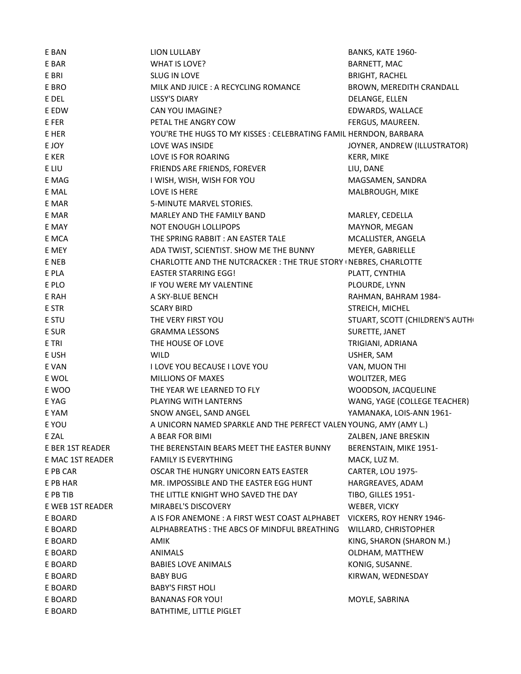| E BAN            | <b>LION LULLABY</b>                                                           | BANKS, KATE 1960-                      |
|------------------|-------------------------------------------------------------------------------|----------------------------------------|
| E BAR            | WHAT IS LOVE?                                                                 | BARNETT, MAC                           |
| E BRI            | SLUG IN LOVE                                                                  | <b>BRIGHT, RACHEL</b>                  |
| E BRO            | MILK AND JUICE : A RECYCLING ROMANCE                                          | BROWN, MEREDITH CRANDALL               |
| E DEL            | <b>LISSY'S DIARY</b>                                                          | DELANGE, ELLEN                         |
| E EDW            | CAN YOU IMAGINE?                                                              | EDWARDS, WALLACE                       |
| E FER            | PETAL THE ANGRY COW                                                           | FERGUS, MAUREEN.                       |
| E HER            | YOU'RE THE HUGS TO MY KISSES : CELEBRATING FAMIL HERNDON, BARBARA             |                                        |
| E JOY            | LOVE WAS INSIDE                                                               | JOYNER, ANDREW (ILLUSTRATOR)           |
| E KER            | LOVE IS FOR ROARING                                                           | KERR, MIKE                             |
| E LIU            | FRIENDS ARE FRIENDS, FOREVER                                                  | LIU, DANE                              |
| E MAG            | I WISH, WISH, WISH FOR YOU                                                    | MAGSAMEN, SANDRA                       |
| E MAL            | LOVE IS HERE                                                                  | MALBROUGH, MIKE                        |
| E MAR            | 5-MINUTE MARVEL STORIES.                                                      |                                        |
| E MAR            | MARLEY AND THE FAMILY BAND                                                    | MARLEY, CEDELLA                        |
| E MAY            | NOT ENOUGH LOLLIPOPS                                                          | MAYNOR, MEGAN                          |
| E MCA            | THE SPRING RABBIT : AN EASTER TALE                                            | MCALLISTER, ANGELA                     |
| E MEY            | ADA TWIST, SCIENTIST. SHOW ME THE BUNNY                                       | MEYER, GABRIELLE                       |
| E NEB            | CHARLOTTE AND THE NUTCRACKER : THE TRUE STORY (NEBRES, CHARLOTTE              |                                        |
| E PLA            | <b>EASTER STARRING EGG!</b>                                                   | PLATT, CYNTHIA                         |
| E PLO            | IF YOU WERE MY VALENTINE                                                      | PLOURDE, LYNN                          |
| E RAH            | A SKY-BLUE BENCH                                                              | RAHMAN, BAHRAM 1984-                   |
| E STR            | <b>SCARY BIRD</b>                                                             | STREICH, MICHEL                        |
| E STU            | THE VERY FIRST YOU                                                            | STUART, SCOTT (CHILDREN'S AUTH)        |
| E SUR            | <b>GRAMMA LESSONS</b>                                                         | SURETTE, JANET                         |
| E TRI            | THE HOUSE OF LOVE                                                             | TRIGIANI, ADRIANA                      |
| E USH            | <b>WILD</b>                                                                   | USHER, SAM                             |
| E VAN            | I LOVE YOU BECAUSE I LOVE YOU                                                 | VAN, MUON THI                          |
| E WOL            | <b>MILLIONS OF MAXES</b>                                                      | WOLITZER, MEG                          |
| E WOO            | THE YEAR WE LEARNED TO FLY                                                    | WOODSON, JACQUELINE                    |
| E YAG            | PLAYING WITH LANTERNS                                                         | WANG, YAGE (COLLEGE TEACHER)           |
| E YAM            | SNOW ANGEL, SAND ANGEL                                                        | YAMANAKA, LOIS-ANN 1961-               |
| E YOU            | A UNICORN NAMED SPARKLE AND THE PERFECT VALEN YOUNG, AMY (AMY L.)             |                                        |
| E ZAL            | A BEAR FOR BIMI                                                               | ZALBEN, JANE BRESKIN                   |
| E BER 1ST READER | THE BERENSTAIN BEARS MEET THE EASTER BUNNY                                    | BERENSTAIN, MIKE 1951-                 |
| E MAC 1ST READER | <b>FAMILY IS EVERYTHING</b>                                                   |                                        |
|                  | OSCAR THE HUNGRY UNICORN EATS EASTER                                          | MACK, LUZ M.<br>CARTER, LOU 1975-      |
| E PB CAR         |                                                                               |                                        |
| E PB HAR         | MR. IMPOSSIBLE AND THE EASTER EGG HUNT<br>THE LITTLE KNIGHT WHO SAVED THE DAY | HARGREAVES, ADAM<br>TIBO, GILLES 1951- |
| E PB TIB         |                                                                               |                                        |
| E WEB 1ST READER | MIRABEL'S DISCOVERY                                                           | WEBER, VICKY                           |
| E BOARD          | A IS FOR ANEMONE : A FIRST WEST COAST ALPHABET                                | VICKERS, ROY HENRY 1946-               |
| E BOARD          | ALPHABREATHS: THE ABCS OF MINDFUL BREATHING                                   | WILLARD, CHRISTOPHER                   |
| E BOARD          | AMIK                                                                          | KING, SHARON (SHARON M.)               |
| E BOARD          | ANIMALS                                                                       | OLDHAM, MATTHEW                        |
| E BOARD          | <b>BABIES LOVE ANIMALS</b>                                                    | KONIG, SUSANNE.                        |
| E BOARD          | <b>BABY BUG</b>                                                               | KIRWAN, WEDNESDAY                      |
| E BOARD          | <b>BABY'S FIRST HOLI</b>                                                      |                                        |
| E BOARD          | <b>BANANAS FOR YOU!</b>                                                       | MOYLE, SABRINA                         |
| E BOARD          | BATHTIME, LITTLE PIGLET                                                       |                                        |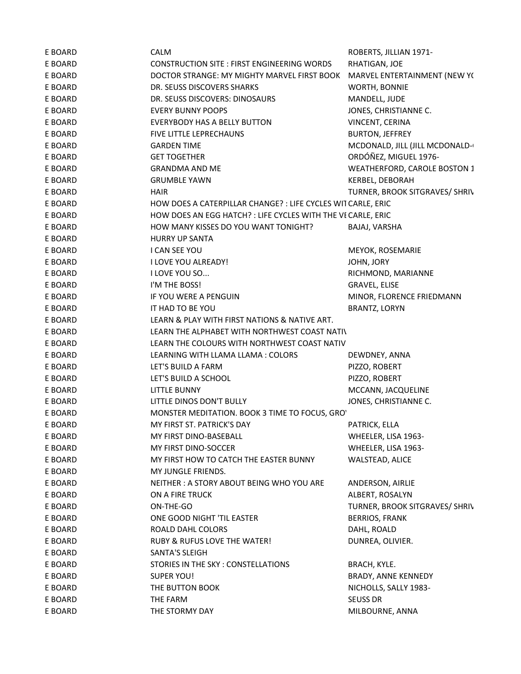| E BOARD | CALM                                                         | ROBERTS, JILLIAN 1971-         |
|---------|--------------------------------------------------------------|--------------------------------|
| E BOARD | CONSTRUCTION SITE : FIRST ENGINEERING WORDS                  | RHATIGAN, JOE                  |
| E BOARD | DOCTOR STRANGE: MY MIGHTY MARVEL FIRST BOOK                  | MARVEL ENTERTAINMENT (NEW YO   |
| E BOARD | DR. SEUSS DISCOVERS SHARKS                                   | WORTH, BONNIE                  |
| E BOARD | DR. SEUSS DISCOVERS: DINOSAURS                               | MANDELL, JUDE                  |
| E BOARD | <b>EVERY BUNNY POOPS</b>                                     | JONES, CHRISTIANNE C.          |
| E BOARD | EVERYBODY HAS A BELLY BUTTON                                 | VINCENT, CERINA                |
| E BOARD | FIVE LITTLE LEPRECHAUNS                                      | <b>BURTON, JEFFREY</b>         |
| E BOARD | <b>GARDEN TIME</b>                                           | MCDONALD, JILL (JILL MCDONALD- |
| E BOARD | <b>GET TOGETHER</b>                                          | ORDÓÑEZ, MIGUEL 1976-          |
| E BOARD | <b>GRANDMA AND ME</b>                                        | WEATHERFORD, CAROLE BOSTON 1   |
| E BOARD | <b>GRUMBLE YAWN</b>                                          | KERBEL, DEBORAH                |
| E BOARD | <b>HAIR</b>                                                  | TURNER, BROOK SITGRAVES/ SHRIV |
| E BOARD | HOW DOES A CATERPILLAR CHANGE? : LIFE CYCLES WIT CARLE, ERIC |                                |
| E BOARD | HOW DOES AN EGG HATCH? : LIFE CYCLES WITH THE VE CARLE, ERIC |                                |
| E BOARD | HOW MANY KISSES DO YOU WANT TONIGHT?                         | BAJAJ, VARSHA                  |
| E BOARD | <b>HURRY UP SANTA</b>                                        |                                |
| E BOARD | <b>I CAN SEE YOU</b>                                         | MEYOK, ROSEMARIE               |
| E BOARD | I LOVE YOU ALREADY!                                          | JOHN, JORY                     |
| E BOARD | I LOVE YOU SO                                                | RICHMOND, MARIANNE             |
| E BOARD | I'M THE BOSS!                                                | <b>GRAVEL, ELISE</b>           |
| E BOARD | IF YOU WERE A PENGUIN                                        | MINOR, FLORENCE FRIEDMANN      |
| E BOARD | IT HAD TO BE YOU                                             | BRANTZ, LORYN                  |
| E BOARD | LEARN & PLAY WITH FIRST NATIONS & NATIVE ART.                |                                |
| E BOARD | LEARN THE ALPHABET WITH NORTHWEST COAST NATIV                |                                |
| E BOARD | LEARN THE COLOURS WITH NORTHWEST COAST NATIVE                |                                |
| E BOARD | LEARNING WITH LLAMA LLAMA: COLORS                            | DEWDNEY, ANNA                  |
| E BOARD | LET'S BUILD A FARM                                           | PIZZO, ROBERT                  |
| E BOARD | LET'S BUILD A SCHOOL                                         | PIZZO, ROBERT                  |
| E BOARD | LITTLE BUNNY                                                 | MCCANN, JACQUELINE             |
| E BOARD | LITTLE DINOS DON'T BULLY                                     | JONES, CHRISTIANNE C.          |
| E BOARD | MONSTER MEDITATION. BOOK 3 TIME TO FOCUS, GRO'               |                                |
| E BOARD | MY FIRST ST. PATRICK'S DAY                                   | PATRICK, ELLA                  |
| E BOARD | MY FIRST DINO-BASEBALL                                       | WHEELER, LISA 1963-            |
| E BOARD | MY FIRST DINO-SOCCER                                         | WHEELER, LISA 1963-            |
| E BOARD | MY FIRST HOW TO CATCH THE EASTER BUNNY                       | WALSTEAD, ALICE                |
| E BOARD | MY JUNGLE FRIENDS.                                           |                                |
| E BOARD | NEITHER: A STORY ABOUT BEING WHO YOU ARE                     | ANDERSON, AIRLIE               |
| E BOARD | ON A FIRE TRUCK                                              | ALBERT, ROSALYN                |
| E BOARD | ON-THE-GO                                                    | TURNER, BROOK SITGRAVES/ SHRIV |
| E BOARD | ONE GOOD NIGHT 'TIL EASTER                                   | <b>BERRIOS, FRANK</b>          |
| E BOARD | ROALD DAHL COLORS                                            | DAHL, ROALD                    |
| E BOARD | RUBY & RUFUS LOVE THE WATER!                                 | DUNREA, OLIVIER.               |
| E BOARD | <b>SANTA'S SLEIGH</b>                                        |                                |
| E BOARD | STORIES IN THE SKY: CONSTELLATIONS                           | BRACH, KYLE.                   |
| E BOARD | SUPER YOU!                                                   | BRADY, ANNE KENNEDY            |
| E BOARD | THE BUTTON BOOK                                              | NICHOLLS, SALLY 1983-          |
| E BOARD | THE FARM                                                     | SEUSS DR                       |
| E BOARD | THE STORMY DAY                                               | MILBOURNE, ANNA                |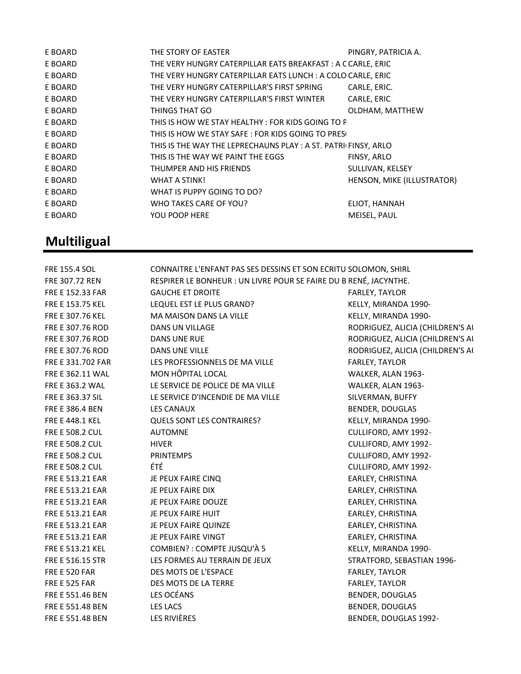| E BOARD | THE STORY OF EASTER                                           | PINGRY, PATRICIA A.        |
|---------|---------------------------------------------------------------|----------------------------|
| E BOARD | THE VERY HUNGRY CATERPILLAR EATS BREAKFAST: A C CARLE, ERIC   |                            |
| E BOARD | THE VERY HUNGRY CATERPILLAR EATS LUNCH: A COLO CARLE, ERIC    |                            |
| E BOARD | THE VERY HUNGRY CATERPILLAR'S FIRST SPRING                    | CARLE, ERIC.               |
| E BOARD | THE VERY HUNGRY CATERPILLAR'S FIRST WINTER                    | CARLE, ERIC                |
| E BOARD | THINGS THAT GO                                                | OLDHAM, MATTHEW            |
| E BOARD | THIS IS HOW WE STAY HEALTHY: FOR KIDS GOING TO P              |                            |
| E BOARD | THIS IS HOW WE STAY SAFE: FOR KIDS GOING TO PRESO             |                            |
| E BOARD | THIS IS THE WAY THE LEPRECHAUNS PLAY: A ST. PATRICFINSY, ARLO |                            |
| E BOARD | THIS IS THE WAY WE PAINT THE EGGS                             | FINSY, ARLO                |
| E BOARD | THUMPER AND HIS FRIENDS                                       | SULLIVAN, KELSEY           |
| E BOARD | WHAT A STINK!                                                 | HENSON, MIKE (ILLUSTRATOR) |
| E BOARD | WHAT IS PUPPY GOING TO DO?                                    |                            |
| E BOARD | WHO TAKES CARE OF YOU?                                        | ELIOT, HANNAH              |
| E BOARD | YOU POOP HERE                                                 | MEISEL, PAUL               |
|         |                                                               |                            |

#### **Multiligual**

FRE 155.4 SOL CONNAITRE L'ENFANT PAS SES DESSINS ET SON ECRITU SOLOMON, SHIRL FRE 307.72 REN RESPIRER LE BONHEUR : UN LIVRE POUR SE FAIRE DU B RENÉ, JACYNTHE. FRE E 152.33 FAR GAUCHE ET DROITE FARLEY, TAYLOR FRE E 153.75 KEL LEQUEL EST LE PLUS GRAND? KELLY, MIRANDA 1990-FRE E 307.76 KEL MA MAISON DANS LA VILLE KELLY, MIRANDA 1990-FRE E 307.76 ROD DANS UN VILLAGE REDUCTION AND RODRIGUEZ, ALICIA (CHILDREN'S ALICIA FRE E 307.76 ROD DANS UNE RUE RODROUGUEZ, ALICIA (CHILDREN'S ALICIA (CHILDREN'S ALICIA FRE E 307.76 ROD DANS UNE VILLE SALLE RODRIGUEZ, ALICIA (CHILDREN'S ALICIA (CHILDREN'S ALICIA FRE E 331.702 FAR LES PROFESSIONNELS DE MA VILLE FARLEY, TAYLOR FRE E 362.11 WAL MON HÔPITAL LOCAL THE STATE RELATION OF STATE RELATION OF STATES AND MALKER, ALAN 1963-FRE E 363.2 WAL LE SERVICE DE POLICE DE MA VILLE WALKER, ALAN 1963-FRE E 363.37 SIL LE SERVICE D'INCENDIE DE MA VILLE SILVERMAN, BUFFY FRE E 386.4 BEN LES CANAUX EN EN EN BENDER, DOUGLAS FRE E 448.1 KEL QUELS SONT LES CONTRAIRES? KELLY, MIRANDA 1990- FRE E 508.2 CUL AUTOMNE AND ANNOUNCED AND CULLIFORD, AMY 1992-FRE E 508.2 CUL HIVER CULLIFORD, AMY 1992- FRE E 508.2 CUL PRINTEMPS CULLIFORD, AMY 1992-FRE E 508.2 CUL ÉTÉ CULLIFORD, AMY 1992- FRE E 513.21 EAR THE PEUX FAIRE CINQ THE SAND REARLEY, CHRISTINA FRE E 513.21 EAR THE PEUX FAIRE DIX THE SERVICE OF STRING THE STRING OF STRING THE STRING OF STRING THE STRING FRE E 513.21 EAR JE PEUX FAIRE DOUZE THE SEARLEY, CHRISTINA FRE E 513.21 EAR JE PEUX FAIRE HUIT THE STATE STATE EARLEY, CHRISTINA FRE E 513.21 EAR JE PEUX FAIRE QUINZE FREE EARLEY, CHRISTINA FRE E 513.21 EAR THE PEUX FAIRE VINGT THE SERIET SEARLEY, CHRISTINA FRE E 513.21 KEL COMBIEN? : COMPTE JUSQU'À 5 KELLY, MIRANDA 1990- FRE E 516.15 STR THES FORMES AU TERRAIN DE JEUX TERRATIORD, SEBASTIAN 1996-FRE E 520 FAR DES MOTS DE L'ESPACE EN ENCORE ESPARIEY, TAYLOR FRE E 525 FAR DES MOTS DE LA TERRE FARLEY, TAYLOR FRE E 551.46 BEN LES OCÉANS AND ENDER, DOUGLAS FRE E 551.48 BEN LES LACS LACS EXAMPLE E SENDER, DOUGLAS FRE E 551.48 BEN LES RIVIÈRES EN LES RIVIÈRES EN LES RIGILES EN LES RIGILES EN L'AURAIS EN LES RIGILES EN L'A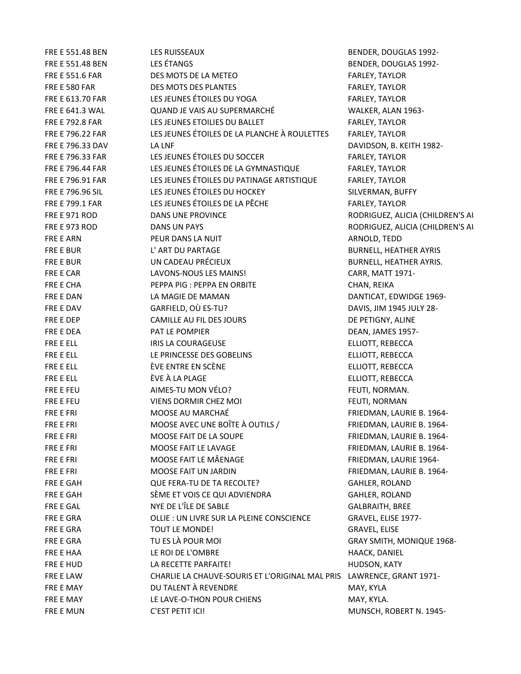FRE E 551.48 BEN LES RUISSEAUX BENDER, DOUGLAS 1992- FRE E 551.48 BEN LES ÉTANGS BENDER, DOUGLAS 1992- FRE E 551.6 FAR DES MOTS DE LA METEO FARLEY, TAYLOR FRE E 580 FAR **EXECUTE:** DES MOTS DES PLANTES FART EXECUTE TO THE FARLEY, TAYLOR FRE E 613.70 FAR LES JEUNES ÉTOILES DU YOGA FARLEY, TAYLOR FRE E 641.3 WAL QUAND JE VAIS AU SUPERMARCHÉ WALKER, ALAN 1963- FRE E 792.8 FAR LES JEUNES ETOILIES DU BALLET FARLEY, TAYLOR FRE E 796.22 FAR LES JEUNES ÉTOILES DE LA PLANCHE À ROULETTES FARLEY, TAYLOR FRE E 796.33 DAV LA LNF DAVIDSON, B. KEITH 1982- FRE E 796.33 FAR LES JEUNES ÉTOILES DU SOCCER FARLEY, TAYLOR FRE E 796.44 FAR LES JEUNES ÉTOILES DE LA GYMNASTIQUE FARLEY, TAYLOR FRE E 796.91 FAR LES JEUNES ÉTOILES DU PATINAGE ARTISTIQUE FARLEY, TAYLOR FRE E 796.96 SIL **LES JEUNES ÉTOILES DU HOCKEY** SILVERMAN, BUFFY FRE E 799.1 FAR LES JEUNES ÉTOILES DE LA PÊCHE FARLEY, TAYLOR FRE E 971 ROD **DANS UNE PROVINCE EXAMPLE 2008 RODRIGUEZ, ALICIA (CHILDREN'S ALICIA** FRE E 973 ROD DANS UN PAYS RODRIGUEZ, ALICIA (CHILDREN'S AUTHOR) FRE E ARN **PEUR DANS LA NUIT ARNOLD, TEDD** FRE E BUR L'ART DU PARTAGE ET LES ENTRE LA BURNELL, HEATHER AYRIS FRE E BUR CADEAU PRÉCIEUX ET LES BURNELL, HEATHER AYRIS. FRE E CAR LAVONS-NOUS LES MAINS! CARR, MATT 1971-FRE E CHA **PEPPA PIG : PEPPA EN ORBITE** CHAN, REIKA FRE E DAN LA MAGIE DE MAMAN DANTICAT, EDWIDGE 1969-FRE E DAV GARFIELD, OÙ ES-TU? DAVIS, JIM 1945 JULY 28- FRE E DEP CAMILLE AU FIL DES JOURS COMPOSED AND REPORT OF PETIGNY, ALINE FRE E DEA **PAT LE POMPIER EXAMPLE AND EXAMPLE POMPIER DEAN**, JAMES 1957-FRE E ELL **IRIS LA COURAGEUSE** ELLIOTT, REBECCA FRE E ELL **EXECUTE:** LE PRINCESSE DES GOBELINS ELLIOTT, REBECCA FRE E ELL ÈVE ENTRE EN SCÈNE ELLIOTT, REBECCA FRE E ELL ÈVE À LA PLAGE ELLIOTT, REBECCA FRE E FEU **AIMES-TU MON VÉLO?** FEUTI, NORMAN. FRE E FEU **STATE STATE OF A VIENS DORMIR CHEZ MOI FEUTI, NORMAN** FRE E FRI MOOSE AU MARCHAÉ FRIEDMAN, LAURIE B. 1964- FRE E FRI **EXECUS EN EXAMPLE EN EXAMPLE EN EXAMPLE EN 2008 ENCODE AVEC UNE BO**ÎTE À OUTILS / FRIEDMAN, LAURIE B. 1964-FRE E FRI **EXECUTE E AIT DE LA SOUPE** FRIEDMAN, LAURIE B. 1964-FRE E FRI FRIEDMAN, LAURIE B. 1964-FRE E FRI FRIEDMAN, LAURIE 1964-FRE E FRI GALLER BALLER MOOSE FAIT UN JARDIN GERELL THE SERIEDMAN, LAURIE B. 1964-FRE E GAH GALLER, ROLAND QUE FERA-TU DE TA RECOLTE? GAHLER, ROLAND FRE E GAH SÈME ET VOIS CE QUI ADVIENDRA GAHLER, ROLAND FRE E GAL GAL NYE DE L'ÎLE DE SABLE GALBRAITH, BREE FRE E GRA **CLLIE : UN LIVRE SUR LA PLEINE CONSCIENCE** GRAVEL, ELISE 1977-FRE E GRA TOUT LE MONDE! THE GRAVEL, ELISE FRE E GRA TU ES LÀ POUR MOI GRAY SMITH, MONIQUE 1968-FRE E HAA LE ROI DE L'OMBRE HAACK, DANIEL FRE E HUD LA RECETTE PARFAITE! THE RECOMBLE HUDSON, KATY FRE E LAW CHARLIE LA CHAUVE-SOURIS ET L'ORIGINAL MAL PRIS LAWRENCE, GRANT 1971- FRE E MAY **EXAMPLE A THE OUT ALENT À REVENDRE** THE MAY AND MAY, KYLA FRE E MAY **EXAMPLE LAGE-O-THON POUR CHIENS** MAY, KYLA. FRE E MUN C'EST PETIT ICI! CONTROLLED MUNSCH, ROBERT N. 1945-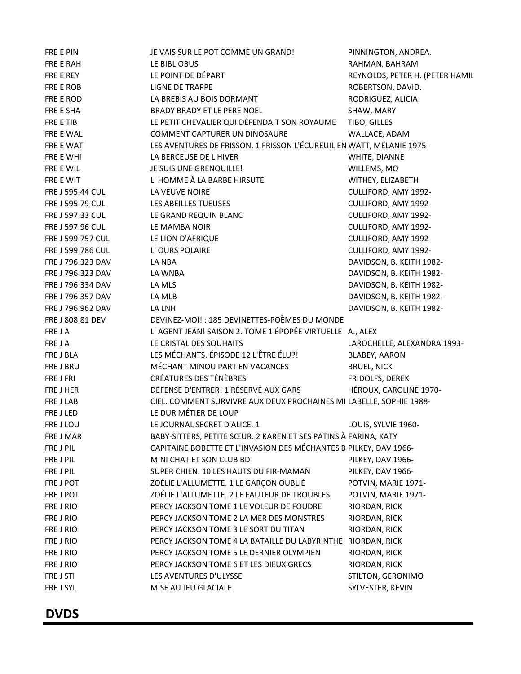| FRE E PIN         | JE VAIS SUR LE POT COMME UN GRAND!                                    | PINNINGTON, ANDREA.             |  |
|-------------------|-----------------------------------------------------------------------|---------------------------------|--|
| FRE E RAH         | LE BIBLIOBUS                                                          | RAHMAN, BAHRAM                  |  |
| FRE E REY         | LE POINT DE DÉPART                                                    | REYNOLDS, PETER H. (PETER HAMIL |  |
| FRE E ROB         | LIGNE DE TRAPPE                                                       | ROBERTSON, DAVID.               |  |
| FRE E ROD         | LA BREBIS AU BOIS DORMANT                                             | RODRIGUEZ, ALICIA               |  |
| FRE E SHA         | BRADY BRADY ET LE PERE NOEL                                           | SHAW, MARY                      |  |
| FRE E TIB         | LE PETIT CHEVALIER QUI DÉFENDAIT SON ROYAUME                          | TIBO, GILLES                    |  |
| FRE E WAL         | COMMENT CAPTURER UN DINOSAURE                                         | WALLACE, ADAM                   |  |
| FRE E WAT         | LES AVENTURES DE FRISSON. 1 FRISSON L'ÉCUREUIL EN WATT, MÉLANIE 1975- |                                 |  |
| FRE E WHI         | LA BERCEUSE DE L'HIVER                                                | WHITE, DIANNE                   |  |
| FRE E WIL         | JE SUIS UNE GRENOUILLE!                                               | WILLEMS, MO                     |  |
| FRE E WIT         | L'HOMME À LA BARBE HIRSUTE                                            | WITHEY, ELIZABETH               |  |
| FRE J 595.44 CUL  | LA VEUVE NOIRE                                                        | CULLIFORD, AMY 1992-            |  |
| FRE J 595.79 CUL  | LES ABEILLES TUEUSES                                                  | CULLIFORD, AMY 1992-            |  |
| FRE J 597.33 CUL  | LE GRAND REQUIN BLANC                                                 | CULLIFORD, AMY 1992-            |  |
| FRE J 597.96 CUL  |                                                                       | CULLIFORD, AMY 1992-            |  |
|                   | LE MAMBA NOIR                                                         |                                 |  |
| FRE J 599.757 CUL | LE LION D'AFRIQUE                                                     | CULLIFORD, AMY 1992-            |  |
| FRE J 599.786 CUL | L'OURS POLAIRE                                                        | CULLIFORD, AMY 1992-            |  |
| FRE J 796.323 DAV | LA NBA                                                                | DAVIDSON, B. KEITH 1982-        |  |
| FRE J 796.323 DAV | LA WNBA                                                               | DAVIDSON, B. KEITH 1982-        |  |
| FRE J 796.334 DAV | LA MLS                                                                | DAVIDSON, B. KEITH 1982-        |  |
| FRE J 796.357 DAV | LA MLB                                                                | DAVIDSON, B. KEITH 1982-        |  |
| FRE J 796.962 DAV | LA LNH                                                                | DAVIDSON, B. KEITH 1982-        |  |
| FRE J 808.81 DEV  | DEVINEZ-MOI!: 185 DEVINETTES-POÈMES DU MONDE                          |                                 |  |
| FRE JA            | L'AGENT JEAN! SAISON 2. TOME 1 ÉPOPÉE VIRTUELLE A., ALEX              |                                 |  |
| FRE JA            | LE CRISTAL DES SOUHAITS                                               | LAROCHELLE, ALEXANDRA 1993-     |  |
| FRE J BLA         | LES MÉCHANTS. ÉPISODE 12 L'ÊTRE ÉLU?!                                 | BLABEY, AARON                   |  |
| FRE J BRU         | MÉCHANT MINOU PART EN VACANCES                                        | <b>BRUEL, NICK</b>              |  |
| FRE J FRI         | CRÉATURES DES TÉNÈBRES                                                | FRIDOLFS, DEREK                 |  |
| FRE J HER         | DÉFENSE D'ENTRER! 1 RÉSERVÉ AUX GARS                                  | HÉROUX, CAROLINE 1970-          |  |
| FRE J LAB         | CIEL. COMMENT SURVIVRE AUX DEUX PROCHAINES MI LABELLE, SOPHIE 1988-   |                                 |  |
| FRE J LED         | LE DUR MÉTIER DE LOUP                                                 |                                 |  |
| FRE J LOU         | LE JOURNAL SECRET D'ALICE. 1                                          | LOUIS, SYLVIE 1960-             |  |
| FRE J MAR         | BABY-SITTERS, PETITE SCEUR. 2 KAREN ET SES PATINS À FARINA, KATY      |                                 |  |
| FRE J PIL         | CAPITAINE BOBETTE ET L'INVASION DES MÉCHANTES B PILKEY, DAV 1966-     |                                 |  |
| FRE J PIL         | MINI CHAT ET SON CLUB BD                                              | PILKEY, DAV 1966-               |  |
| FRE J PIL         | SUPER CHIEN. 10 LES HAUTS DU FIR-MAMAN                                | PILKEY, DAV 1966-               |  |
| FRE J POT         | ZOÉLIE L'ALLUMETTE. 1 LE GARÇON OUBLIÉ                                | POTVIN, MARIE 1971-             |  |
| FRE J POT         | ZOÉLIE L'ALLUMETTE. 2 LE FAUTEUR DE TROUBLES                          | POTVIN, MARIE 1971-             |  |
| FRE J RIO         | PERCY JACKSON TOME 1 LE VOLEUR DE FOUDRE                              | RIORDAN, RICK                   |  |
| FRE J RIO         | PERCY JACKSON TOME 2 LA MER DES MONSTRES                              | RIORDAN, RICK                   |  |
| FRE J RIO         |                                                                       |                                 |  |
|                   | PERCY JACKSON TOME 3 LE SORT DU TITAN                                 | RIORDAN, RICK                   |  |
| FRE J RIO         | PERCY JACKSON TOME 4 LA BATAILLE DU LABYRINTHE RIORDAN, RICK          |                                 |  |
| FRE J RIO         | PERCY JACKSON TOME 5 LE DERNIER OLYMPIEN                              | RIORDAN, RICK                   |  |
| FRE J RIO         | PERCY JACKSON TOME 6 ET LES DIEUX GRECS                               | RIORDAN, RICK                   |  |
| FRE J STI         | LES AVENTURES D'ULYSSE                                                | STILTON, GERONIMO               |  |
| FRE J SYL         | MISE AU JEU GLACIALE                                                  | SYLVESTER, KEVIN                |  |

#### DVDS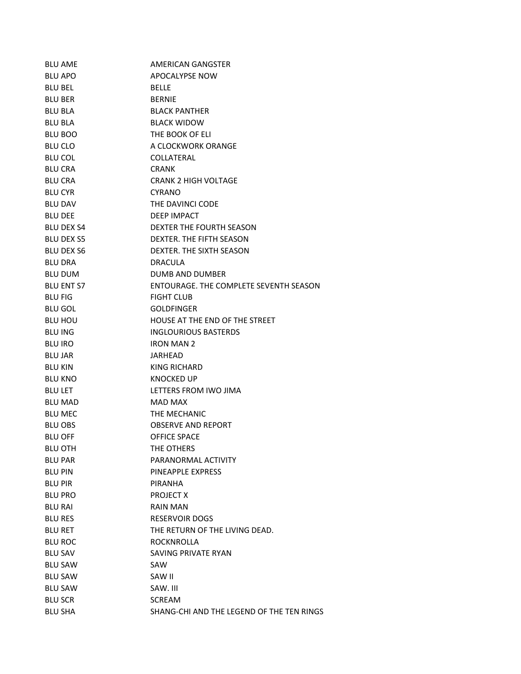| <b>BLU AME</b>    | AMERICAN GANGSTER                         |
|-------------------|-------------------------------------------|
| <b>BLU APO</b>    | APOCALYPSE NOW                            |
| <b>BLU BEL</b>    | <b>BELLE</b>                              |
| <b>BLU BER</b>    | <b>BERNIE</b>                             |
| <b>BLU BLA</b>    | <b>BLACK PANTHER</b>                      |
| <b>BLU BLA</b>    | <b>BLACK WIDOW</b>                        |
| <b>BLU BOO</b>    | THE BOOK OF ELI                           |
| <b>BLU CLO</b>    | A CLOCKWORK ORANGE                        |
| <b>BLU COL</b>    | COLLATERAL                                |
| <b>BLU CRA</b>    | <b>CRANK</b>                              |
| <b>BLU CRA</b>    | <b>CRANK 2 HIGH VOLTAGE</b>               |
| <b>BLU CYR</b>    | <b>CYRANO</b>                             |
| <b>BLU DAV</b>    | THE DAVINCI CODE                          |
| <b>BLU DEE</b>    | DEEP IMPACT                               |
| <b>BLU DEX S4</b> | DEXTER THE FOURTH SEASON                  |
| <b>BLU DEX S5</b> | DEXTER. THE FIFTH SEASON                  |
| <b>BLU DEX S6</b> | DEXTER. THE SIXTH SEASON                  |
| <b>BLU DRA</b>    | DRACULA                                   |
| <b>BLU DUM</b>    | DUMB AND DUMBER                           |
| <b>BLU ENT S7</b> | ENTOURAGE. THE COMPLETE SEVENTH SEASON    |
| <b>BLU FIG</b>    | <b>FIGHT CLUB</b>                         |
| <b>BLU GOL</b>    | <b>GOLDFINGER</b>                         |
| <b>BLU HOU</b>    | HOUSE AT THE END OF THE STREET            |
| <b>BLU ING</b>    | <b>INGLOURIOUS BASTERDS</b>               |
| <b>BLU IRO</b>    | <b>IRON MAN 2</b>                         |
| <b>BLU JAR</b>    | JARHEAD                                   |
| <b>BLU KIN</b>    | KING RICHARD                              |
| <b>BLU KNO</b>    | KNOCKED UP                                |
| <b>BLU LET</b>    | LETTERS FROM IWO JIMA                     |
| <b>BLU MAD</b>    | MAD MAX                                   |
| <b>BLU MEC</b>    | THE MECHANIC                              |
| <b>BLU OBS</b>    | OBSERVE AND REPORT                        |
| <b>BLU OFF</b>    | <b>OFFICE SPACE</b>                       |
| <b>BLU OTH</b>    | THE OTHERS                                |
| <b>BLU PAR</b>    | PARANORMAL ACTIVITY                       |
| <b>BLU PIN</b>    | PINEAPPLE EXPRESS                         |
| <b>BLU PIR</b>    | PIRANHA                                   |
| <b>BLU PRO</b>    | PROJECT X                                 |
| <b>BLU RAI</b>    | RAIN MAN                                  |
| <b>BLU RES</b>    | <b>RESERVOIR DOGS</b>                     |
| <b>BLU RET</b>    | THE RETURN OF THE LIVING DEAD.            |
| <b>BLU ROC</b>    | ROCKNROLLA                                |
| <b>BLU SAV</b>    | SAVING PRIVATE RYAN                       |
| <b>BLU SAW</b>    | SAW                                       |
| <b>BLU SAW</b>    | SAW II                                    |
| <b>BLU SAW</b>    | SAW. III                                  |
| <b>BLU SCR</b>    | <b>SCREAM</b>                             |
| <b>BLU SHA</b>    | SHANG-CHI AND THE LEGEND OF THE TEN RINGS |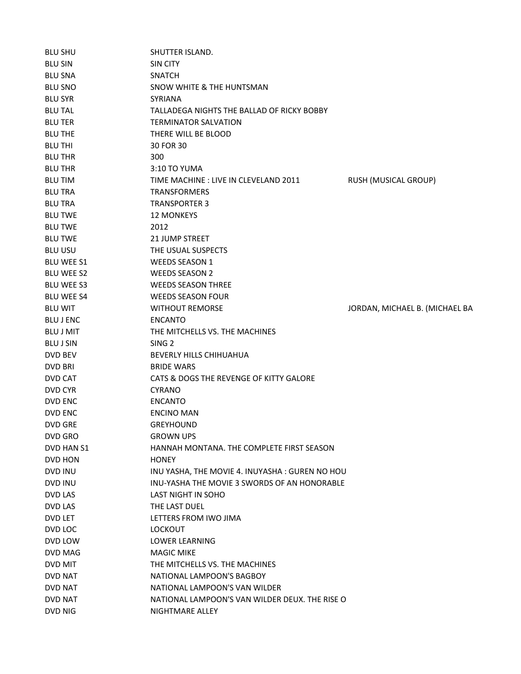| <b>BLU SHU</b>    | SHUTTER ISLAND.                                |                                |
|-------------------|------------------------------------------------|--------------------------------|
| <b>BLU SIN</b>    | SIN CITY                                       |                                |
| <b>BLU SNA</b>    | <b>SNATCH</b>                                  |                                |
| <b>BLU SNO</b>    | SNOW WHITE & THE HUNTSMAN                      |                                |
| <b>BLU SYR</b>    | <b>SYRIANA</b>                                 |                                |
| <b>BLU TAL</b>    | TALLADEGA NIGHTS THE BALLAD OF RICKY BOBBY     |                                |
| <b>BLU TER</b>    | <b>TERMINATOR SALVATION</b>                    |                                |
| <b>BLU THE</b>    | THERE WILL BE BLOOD                            |                                |
| <b>BLU THI</b>    | 30 FOR 30                                      |                                |
| <b>BLU THR</b>    | 300                                            |                                |
| <b>BLU THR</b>    | 3:10 TO YUMA                                   |                                |
| <b>BLU TIM</b>    | TIME MACHINE : LIVE IN CLEVELAND 2011          | RUSH (MUSICAL GROUP)           |
| <b>BLU TRA</b>    | <b>TRANSFORMERS</b>                            |                                |
| <b>BLU TRA</b>    | <b>TRANSPORTER 3</b>                           |                                |
| <b>BLU TWE</b>    | <b>12 MONKEYS</b>                              |                                |
| <b>BLU TWE</b>    | 2012                                           |                                |
| <b>BLU TWE</b>    | 21 JUMP STREET                                 |                                |
| <b>BLU USU</b>    | THE USUAL SUSPECTS                             |                                |
| <b>BLU WEE S1</b> | <b>WEEDS SEASON 1</b>                          |                                |
| <b>BLU WEE S2</b> | <b>WEEDS SEASON 2</b>                          |                                |
| <b>BLU WEE S3</b> | <b>WEEDS SEASON THREE</b>                      |                                |
| <b>BLU WEE S4</b> | <b>WEEDS SEASON FOUR</b>                       |                                |
| <b>BLU WIT</b>    | <b>WITHOUT REMORSE</b>                         | JORDAN, MICHAEL B. (MICHAEL BA |
| <b>BLU J ENC</b>  | <b>ENCANTO</b>                                 |                                |
| <b>BLU J MIT</b>  | THE MITCHELLS VS. THE MACHINES                 |                                |
| <b>BLU J SIN</b>  | SING <sub>2</sub>                              |                                |
| DVD BEV           | BEVERLY HILLS CHIHUAHUA                        |                                |
| DVD BRI           | <b>BRIDE WARS</b>                              |                                |
| DVD CAT           | CATS & DOGS THE REVENGE OF KITTY GALORE        |                                |
| DVD CYR           | <b>CYRANO</b>                                  |                                |
| DVD ENC           | <b>ENCANTO</b>                                 |                                |
| <b>DVD ENC</b>    | <b>ENCINO MAN</b>                              |                                |
| <b>DVD GRE</b>    | <b>GREYHOUND</b>                               |                                |
| DVD GRO           | <b>GROWN UPS</b>                               |                                |
| DVD HAN S1        | HANNAH MONTANA. THE COMPLETE FIRST SEASON      |                                |
| DVD HON           | <b>HONEY</b>                                   |                                |
| DVD INU           | INU YASHA, THE MOVIE 4. INUYASHA: GUREN NO HOU |                                |
| DVD INU           | INU-YASHA THE MOVIE 3 SWORDS OF AN HONORABLE   |                                |
| DVD LAS           | <b>LAST NIGHT IN SOHO</b>                      |                                |
| DVD LAS           | THE LAST DUEL                                  |                                |
| DVD LET           | LETTERS FROM IWO JIMA                          |                                |
| DVD LOC           | <b>LOCKOUT</b>                                 |                                |
| DVD LOW           | <b>LOWER LEARNING</b>                          |                                |
| DVD MAG           | <b>MAGIC MIKE</b>                              |                                |
| DVD MIT           | THE MITCHELLS VS. THE MACHINES                 |                                |
| DVD NAT           | NATIONAL LAMPOON'S BAGBOY                      |                                |
| DVD NAT           | NATIONAL LAMPOON'S VAN WILDER                  |                                |
| DVD NAT           | NATIONAL LAMPOON'S VAN WILDER DEUX. THE RISE O |                                |
| DVD NIG           | NIGHTMARE ALLEY                                |                                |
|                   |                                                |                                |